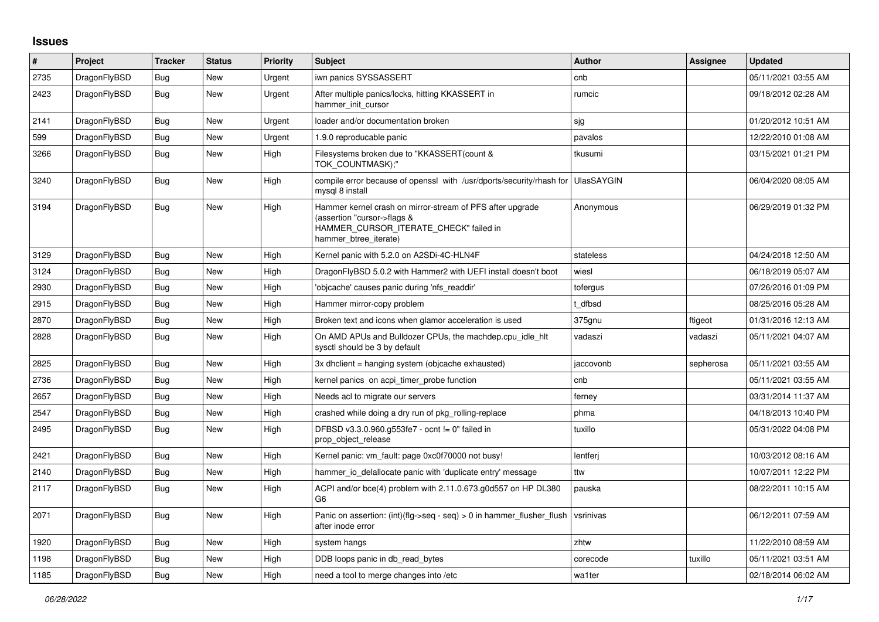## **Issues**

| $\vert$ # | Project      | <b>Tracker</b> | <b>Status</b> | Priority | <b>Subject</b>                                                                                                                                              | <b>Author</b> | Assignee  | <b>Updated</b>      |
|-----------|--------------|----------------|---------------|----------|-------------------------------------------------------------------------------------------------------------------------------------------------------------|---------------|-----------|---------------------|
| 2735      | DragonFlyBSD | <b>Bug</b>     | New           | Urgent   | iwn panics SYSSASSERT                                                                                                                                       | cnb           |           | 05/11/2021 03:55 AM |
| 2423      | DragonFlyBSD | Bug            | <b>New</b>    | Urgent   | After multiple panics/locks, hitting KKASSERT in<br>hammer init cursor                                                                                      | rumcic        |           | 09/18/2012 02:28 AM |
| 2141      | DragonFlyBSD | Bug            | New           | Urgent   | loader and/or documentation broken                                                                                                                          | sjg           |           | 01/20/2012 10:51 AM |
| 599       | DragonFlyBSD | <b>Bug</b>     | New           | Urgent   | 1.9.0 reproducable panic                                                                                                                                    | pavalos       |           | 12/22/2010 01:08 AM |
| 3266      | DragonFlyBSD | <b>Bug</b>     | New           | High     | Filesystems broken due to "KKASSERT(count &<br>TOK COUNTMASK);"                                                                                             | tkusumi       |           | 03/15/2021 01:21 PM |
| 3240      | DragonFlyBSD | <b>Bug</b>     | New           | High     | compile error because of openssl with /usr/dports/security/rhash for UlasSAYGIN<br>mysgl 8 install                                                          |               |           | 06/04/2020 08:05 AM |
| 3194      | DragonFlyBSD | Bug            | New           | High     | Hammer kernel crash on mirror-stream of PFS after upgrade<br>(assertion "cursor->flags &<br>HAMMER_CURSOR_ITERATE_CHECK" failed in<br>hammer btree iterate) | Anonymous     |           | 06/29/2019 01:32 PM |
| 3129      | DragonFlyBSD | Bug            | <b>New</b>    | High     | Kernel panic with 5.2.0 on A2SDi-4C-HLN4F                                                                                                                   | stateless     |           | 04/24/2018 12:50 AM |
| 3124      | DragonFlyBSD | Bug            | <b>New</b>    | High     | DragonFlyBSD 5.0.2 with Hammer2 with UEFI install doesn't boot                                                                                              | wiesl         |           | 06/18/2019 05:07 AM |
| 2930      | DragonFlyBSD | <b>Bug</b>     | New           | High     | 'objcache' causes panic during 'nfs readdir'                                                                                                                | tofergus      |           | 07/26/2016 01:09 PM |
| 2915      | DragonFlyBSD | Bug            | New           | High     | Hammer mirror-copy problem                                                                                                                                  | t dfbsd       |           | 08/25/2016 05:28 AM |
| 2870      | DragonFlyBSD | Bug            | New           | High     | Broken text and icons when glamor acceleration is used                                                                                                      | 375gnu        | ftigeot   | 01/31/2016 12:13 AM |
| 2828      | DragonFlyBSD | <b>Bug</b>     | New           | High     | On AMD APUs and Bulldozer CPUs, the machdep.cpu idle hit<br>sysctl should be 3 by default                                                                   | vadaszi       | vadaszi   | 05/11/2021 04:07 AM |
| 2825      | DragonFlyBSD | Bug            | New           | High     | 3x dhclient = hanging system (objcache exhausted)                                                                                                           | jaccovonb     | sepherosa | 05/11/2021 03:55 AM |
| 2736      | DragonFlyBSD | Bug            | New           | High     | kernel panics on acpi_timer_probe function                                                                                                                  | cnb           |           | 05/11/2021 03:55 AM |
| 2657      | DragonFlyBSD | <b>Bug</b>     | New           | High     | Needs acl to migrate our servers                                                                                                                            | ferney        |           | 03/31/2014 11:37 AM |
| 2547      | DragonFlyBSD | Bug            | New           | High     | crashed while doing a dry run of pkg rolling-replace                                                                                                        | phma          |           | 04/18/2013 10:40 PM |
| 2495      | DragonFlyBSD | Bug            | New           | High     | DFBSD v3.3.0.960.g553fe7 - ocnt != 0" failed in<br>prop object release                                                                                      | tuxillo       |           | 05/31/2022 04:08 PM |
| 2421      | DragonFlyBSD | Bug            | New           | High     | Kernel panic: vm fault: page 0xc0f70000 not busy!                                                                                                           | lentferj      |           | 10/03/2012 08:16 AM |
| 2140      | DragonFlyBSD | <b>Bug</b>     | <b>New</b>    | High     | hammer_io_delallocate panic with 'duplicate entry' message                                                                                                  | ttw           |           | 10/07/2011 12:22 PM |
| 2117      | DragonFlyBSD | Bug            | New           | High     | ACPI and/or bce(4) problem with 2.11.0.673.g0d557 on HP DL380<br>G <sub>6</sub>                                                                             | pauska        |           | 08/22/2011 10:15 AM |
| 2071      | DragonFlyBSD | <b>Bug</b>     | New           | High     | Panic on assertion: (int)(flg->seq - seq) > 0 in hammer_flusher_flush<br>after inode error                                                                  | vsrinivas     |           | 06/12/2011 07:59 AM |
| 1920      | DragonFlyBSD | <b>Bug</b>     | <b>New</b>    | High     | system hangs                                                                                                                                                | zhtw          |           | 11/22/2010 08:59 AM |
| 1198      | DragonFlyBSD | <b>Bug</b>     | New           | High     | DDB loops panic in db read bytes                                                                                                                            | corecode      | tuxillo   | 05/11/2021 03:51 AM |
| 1185      | DragonFlyBSD | Bug            | New           | High     | need a tool to merge changes into /etc                                                                                                                      | wa1ter        |           | 02/18/2014 06:02 AM |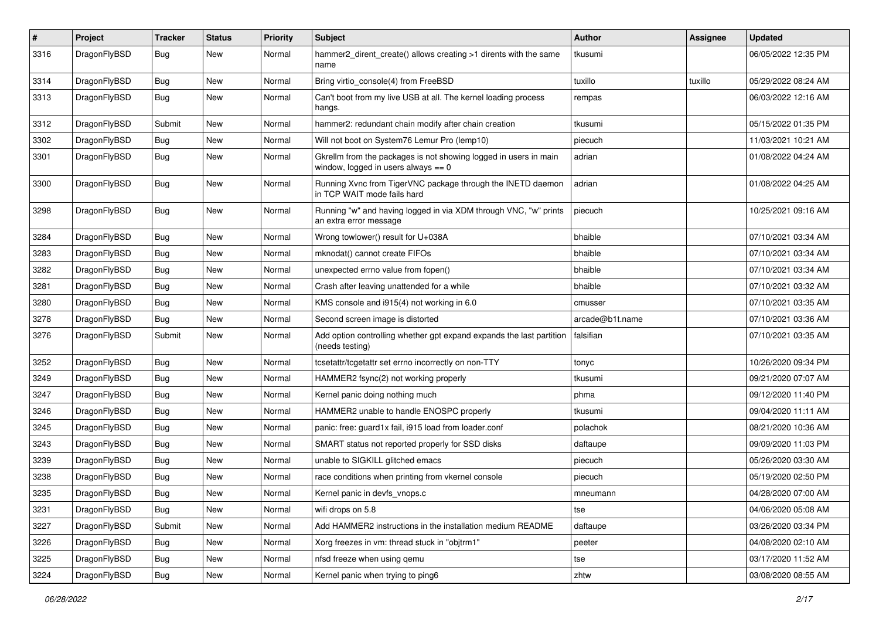| #    | Project      | <b>Tracker</b> | <b>Status</b> | <b>Priority</b> | Subject                                                                                                   | <b>Author</b>   | <b>Assignee</b> | <b>Updated</b>      |
|------|--------------|----------------|---------------|-----------------|-----------------------------------------------------------------------------------------------------------|-----------------|-----------------|---------------------|
| 3316 | DragonFlyBSD | Bug            | New           | Normal          | hammer2 dirent create() allows creating >1 dirents with the same<br>name                                  | tkusumi         |                 | 06/05/2022 12:35 PM |
| 3314 | DragonFlyBSD | <b>Bug</b>     | <b>New</b>    | Normal          | Bring virtio_console(4) from FreeBSD                                                                      | tuxillo         | tuxillo         | 05/29/2022 08:24 AM |
| 3313 | DragonFlyBSD | <b>Bug</b>     | <b>New</b>    | Normal          | Can't boot from my live USB at all. The kernel loading process<br>hangs.                                  | rempas          |                 | 06/03/2022 12:16 AM |
| 3312 | DragonFlyBSD | Submit         | <b>New</b>    | Normal          | hammer2: redundant chain modify after chain creation                                                      | tkusumi         |                 | 05/15/2022 01:35 PM |
| 3302 | DragonFlyBSD | <b>Bug</b>     | <b>New</b>    | Normal          | Will not boot on System76 Lemur Pro (lemp10)                                                              | piecuch         |                 | 11/03/2021 10:21 AM |
| 3301 | DragonFlyBSD | <b>Bug</b>     | New           | Normal          | Gkrellm from the packages is not showing logged in users in main<br>window, logged in users always $== 0$ | adrian          |                 | 01/08/2022 04:24 AM |
| 3300 | DragonFlyBSD | Bug            | New           | Normal          | Running Xvnc from TigerVNC package through the INETD daemon<br>in TCP WAIT mode fails hard                | adrian          |                 | 01/08/2022 04:25 AM |
| 3298 | DragonFlyBSD | Bug            | <b>New</b>    | Normal          | Running "w" and having logged in via XDM through VNC, "w" prints<br>an extra error message                | piecuch         |                 | 10/25/2021 09:16 AM |
| 3284 | DragonFlyBSD | <b>Bug</b>     | <b>New</b>    | Normal          | Wrong towlower() result for U+038A                                                                        | bhaible         |                 | 07/10/2021 03:34 AM |
| 3283 | DragonFlyBSD | <b>Bug</b>     | New           | Normal          | mknodat() cannot create FIFOs                                                                             | bhaible         |                 | 07/10/2021 03:34 AM |
| 3282 | DragonFlyBSD | <b>Bug</b>     | New           | Normal          | unexpected errno value from fopen()                                                                       | bhaible         |                 | 07/10/2021 03:34 AM |
| 3281 | DragonFlyBSD | <b>Bug</b>     | <b>New</b>    | Normal          | Crash after leaving unattended for a while                                                                | bhaible         |                 | 07/10/2021 03:32 AM |
| 3280 | DragonFlyBSD | <b>Bug</b>     | <b>New</b>    | Normal          | KMS console and i915(4) not working in 6.0                                                                | cmusser         |                 | 07/10/2021 03:35 AM |
| 3278 | DragonFlyBSD | <b>Bug</b>     | New           | Normal          | Second screen image is distorted                                                                          | arcade@b1t.name |                 | 07/10/2021 03:36 AM |
| 3276 | DragonFlyBSD | Submit         | New           | Normal          | Add option controlling whether gpt expand expands the last partition<br>(needs testing)                   | falsifian       |                 | 07/10/2021 03:35 AM |
| 3252 | DragonFlyBSD | <b>Bug</b>     | New           | Normal          | tcsetattr/tcgetattr set errno incorrectly on non-TTY                                                      | tonyc           |                 | 10/26/2020 09:34 PM |
| 3249 | DragonFlyBSD | <b>Bug</b>     | <b>New</b>    | Normal          | HAMMER2 fsync(2) not working properly                                                                     | tkusumi         |                 | 09/21/2020 07:07 AM |
| 3247 | DragonFlyBSD | Bug            | <b>New</b>    | Normal          | Kernel panic doing nothing much                                                                           | phma            |                 | 09/12/2020 11:40 PM |
| 3246 | DragonFlyBSD | <b>Bug</b>     | New           | Normal          | HAMMER2 unable to handle ENOSPC properly                                                                  | tkusumi         |                 | 09/04/2020 11:11 AM |
| 3245 | DragonFlyBSD | <b>Bug</b>     | <b>New</b>    | Normal          | panic: free: guard1x fail, i915 load from loader.conf                                                     | polachok        |                 | 08/21/2020 10:36 AM |
| 3243 | DragonFlyBSD | <b>Bug</b>     | New           | Normal          | SMART status not reported properly for SSD disks                                                          | daftaupe        |                 | 09/09/2020 11:03 PM |
| 3239 | DragonFlyBSD | <b>Bug</b>     | <b>New</b>    | Normal          | unable to SIGKILL glitched emacs                                                                          | piecuch         |                 | 05/26/2020 03:30 AM |
| 3238 | DragonFlyBSD | <b>Bug</b>     | <b>New</b>    | Normal          | race conditions when printing from vkernel console                                                        | piecuch         |                 | 05/19/2020 02:50 PM |
| 3235 | DragonFlyBSD | Bug            | New           | Normal          | Kernel panic in devfs vnops.c                                                                             | mneumann        |                 | 04/28/2020 07:00 AM |
| 3231 | DragonFlyBSD | Bug            | New           | Normal          | wifi drops on 5.8                                                                                         | tse             |                 | 04/06/2020 05:08 AM |
| 3227 | DragonFlyBSD | Submit         | New           | Normal          | Add HAMMER2 instructions in the installation medium README                                                | daftaupe        |                 | 03/26/2020 03:34 PM |
| 3226 | DragonFlyBSD | <b>Bug</b>     | New           | Normal          | Xorg freezes in vm: thread stuck in "objtrm1"                                                             | peeter          |                 | 04/08/2020 02:10 AM |
| 3225 | DragonFlyBSD | Bug            | New           | Normal          | nfsd freeze when using qemu                                                                               | tse             |                 | 03/17/2020 11:52 AM |
| 3224 | DragonFlyBSD | <b>Bug</b>     | New           | Normal          | Kernel panic when trying to ping6                                                                         | zhtw            |                 | 03/08/2020 08:55 AM |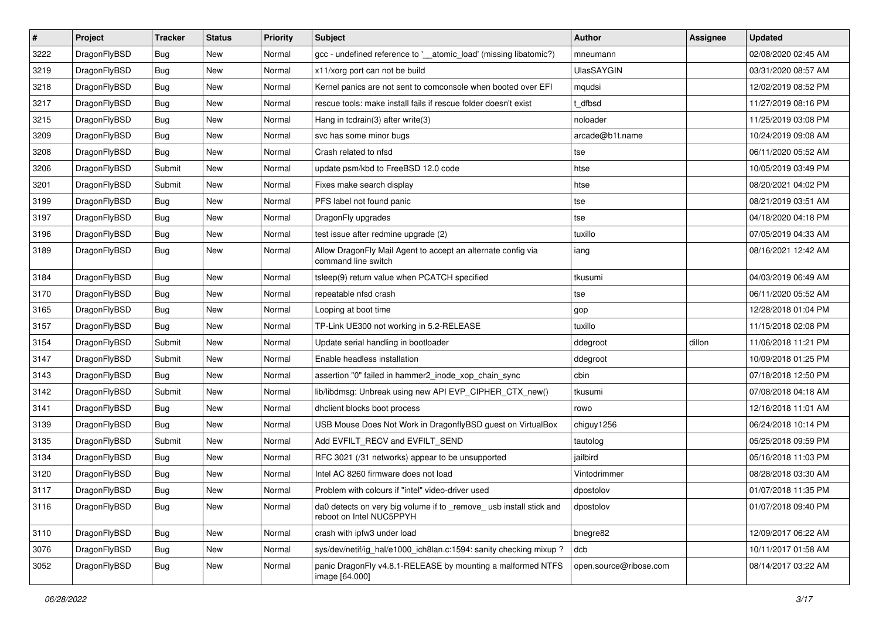| $\sharp$ | Project      | <b>Tracker</b> | <b>Status</b> | <b>Priority</b> | Subject                                                                                         | <b>Author</b>          | <b>Assignee</b> | <b>Updated</b>      |
|----------|--------------|----------------|---------------|-----------------|-------------------------------------------------------------------------------------------------|------------------------|-----------------|---------------------|
| 3222     | DragonFlyBSD | Bug            | New           | Normal          | gcc - undefined reference to '__atomic_load' (missing libatomic?)                               | mneumann               |                 | 02/08/2020 02:45 AM |
| 3219     | DragonFlyBSD | Bug            | <b>New</b>    | Normal          | x11/xorg port can not be build                                                                  | <b>UlasSAYGIN</b>      |                 | 03/31/2020 08:57 AM |
| 3218     | DragonFlyBSD | <b>Bug</b>     | <b>New</b>    | Normal          | Kernel panics are not sent to comconsole when booted over EFI                                   | mqudsi                 |                 | 12/02/2019 08:52 PM |
| 3217     | DragonFlyBSD | <b>Bug</b>     | New           | Normal          | rescue tools: make install fails if rescue folder doesn't exist                                 | t dfbsd                |                 | 11/27/2019 08:16 PM |
| 3215     | DragonFlyBSD | Bug            | <b>New</b>    | Normal          | Hang in tcdrain(3) after write(3)                                                               | noloader               |                 | 11/25/2019 03:08 PM |
| 3209     | DragonFlyBSD | <b>Bug</b>     | New           | Normal          | svc has some minor bugs                                                                         | arcade@b1t.name        |                 | 10/24/2019 09:08 AM |
| 3208     | DragonFlyBSD | Bug            | New           | Normal          | Crash related to nfsd                                                                           | tse                    |                 | 06/11/2020 05:52 AM |
| 3206     | DragonFlyBSD | Submit         | New           | Normal          | update psm/kbd to FreeBSD 12.0 code                                                             | htse                   |                 | 10/05/2019 03:49 PM |
| 3201     | DragonFlyBSD | Submit         | <b>New</b>    | Normal          | Fixes make search display                                                                       | htse                   |                 | 08/20/2021 04:02 PM |
| 3199     | DragonFlyBSD | Bug            | <b>New</b>    | Normal          | PFS label not found panic                                                                       | tse                    |                 | 08/21/2019 03:51 AM |
| 3197     | DragonFlyBSD | Bug            | New           | Normal          | DragonFly upgrades                                                                              | tse                    |                 | 04/18/2020 04:18 PM |
| 3196     | DragonFlyBSD | <b>Bug</b>     | New           | Normal          | test issue after redmine upgrade (2)                                                            | tuxillo                |                 | 07/05/2019 04:33 AM |
| 3189     | DragonFlyBSD | Bug            | New           | Normal          | Allow DragonFly Mail Agent to accept an alternate config via<br>command line switch             | iang                   |                 | 08/16/2021 12:42 AM |
| 3184     | DragonFlyBSD | Bug            | New           | Normal          | tsleep(9) return value when PCATCH specified                                                    | tkusumi                |                 | 04/03/2019 06:49 AM |
| 3170     | DragonFlyBSD | Bug            | <b>New</b>    | Normal          | repeatable nfsd crash                                                                           | tse                    |                 | 06/11/2020 05:52 AM |
| 3165     | DragonFlyBSD | <b>Bug</b>     | New           | Normal          | Looping at boot time                                                                            | gop                    |                 | 12/28/2018 01:04 PM |
| 3157     | DragonFlyBSD | Bug            | <b>New</b>    | Normal          | TP-Link UE300 not working in 5.2-RELEASE                                                        | tuxillo                |                 | 11/15/2018 02:08 PM |
| 3154     | DragonFlyBSD | Submit         | New           | Normal          | Update serial handling in bootloader                                                            | ddegroot               | dillon          | 11/06/2018 11:21 PM |
| 3147     | DragonFlyBSD | Submit         | New           | Normal          | Enable headless installation                                                                    | ddegroot               |                 | 10/09/2018 01:25 PM |
| 3143     | DragonFlyBSD | <b>Bug</b>     | New           | Normal          | assertion "0" failed in hammer2_inode_xop_chain_sync                                            | cbin                   |                 | 07/18/2018 12:50 PM |
| 3142     | DragonFlyBSD | Submit         | <b>New</b>    | Normal          | lib/libdmsg: Unbreak using new API EVP_CIPHER_CTX_new()                                         | tkusumi                |                 | 07/08/2018 04:18 AM |
| 3141     | DragonFlyBSD | <b>Bug</b>     | New           | Normal          | dhclient blocks boot process                                                                    | rowo                   |                 | 12/16/2018 11:01 AM |
| 3139     | DragonFlyBSD | Bug            | New           | Normal          | USB Mouse Does Not Work in DragonflyBSD guest on VirtualBox                                     | chiguy1256             |                 | 06/24/2018 10:14 PM |
| 3135     | DragonFlyBSD | Submit         | <b>New</b>    | Normal          | Add EVFILT_RECV and EVFILT_SEND                                                                 | tautolog               |                 | 05/25/2018 09:59 PM |
| 3134     | DragonFlyBSD | Bug            | New           | Normal          | RFC 3021 (/31 networks) appear to be unsupported                                                | jailbird               |                 | 05/16/2018 11:03 PM |
| 3120     | DragonFlyBSD | Bug            | <b>New</b>    | Normal          | Intel AC 8260 firmware does not load                                                            | Vintodrimmer           |                 | 08/28/2018 03:30 AM |
| 3117     | DragonFlyBSD | Bug            | New           | Normal          | Problem with colours if "intel" video-driver used                                               | dpostolov              |                 | 01/07/2018 11:35 PM |
| 3116     | DragonFlyBSD | <b>Bug</b>     | New           | Normal          | da0 detects on very big volume if to _remove_ usb install stick and<br>reboot on Intel NUC5PPYH | dpostolov              |                 | 01/07/2018 09:40 PM |
| 3110     | DragonFlyBSD | <b>Bug</b>     | <b>New</b>    | Normal          | crash with ipfw3 under load                                                                     | bnegre82               |                 | 12/09/2017 06:22 AM |
| 3076     | DragonFlyBSD | <b>Bug</b>     | New           | Normal          | sys/dev/netif/ig_hal/e1000_ich8lan.c:1594: sanity checking mixup?                               | dcb                    |                 | 10/11/2017 01:58 AM |
| 3052     | DragonFlyBSD | <b>Bug</b>     | New           | Normal          | panic DragonFly v4.8.1-RELEASE by mounting a malformed NTFS<br>image [64.000]                   | open.source@ribose.com |                 | 08/14/2017 03:22 AM |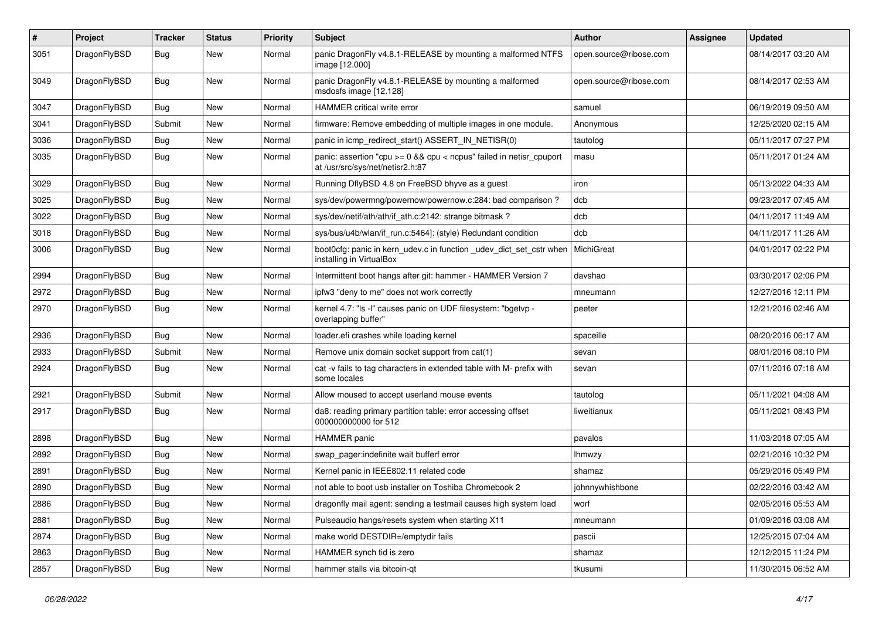| $\#$ | Project      | <b>Tracker</b> | <b>Status</b> | <b>Priority</b> | Subject                                                                                                 | <b>Author</b>          | Assignee | <b>Updated</b>      |
|------|--------------|----------------|---------------|-----------------|---------------------------------------------------------------------------------------------------------|------------------------|----------|---------------------|
| 3051 | DragonFlyBSD | Bug            | <b>New</b>    | Normal          | panic DragonFly v4.8.1-RELEASE by mounting a malformed NTFS<br>image [12.000]                           | open.source@ribose.com |          | 08/14/2017 03:20 AM |
| 3049 | DragonFlyBSD | Bug            | <b>New</b>    | Normal          | panic DragonFly v4.8.1-RELEASE by mounting a malformed<br>msdosfs image [12.128]                        | open.source@ribose.com |          | 08/14/2017 02:53 AM |
| 3047 | DragonFlyBSD | Bug            | <b>New</b>    | Normal          | HAMMER critical write error                                                                             | samuel                 |          | 06/19/2019 09:50 AM |
| 3041 | DragonFlyBSD | Submit         | New           | Normal          | firmware: Remove embedding of multiple images in one module.                                            | Anonymous              |          | 12/25/2020 02:15 AM |
| 3036 | DragonFlyBSD | Bug            | <b>New</b>    | Normal          | panic in icmp_redirect_start() ASSERT_IN_NETISR(0)                                                      | tautolog               |          | 05/11/2017 07:27 PM |
| 3035 | DragonFlyBSD | Bug            | New           | Normal          | panic: assertion "cpu >= 0 && cpu < ncpus" failed in netisr_cpuport<br>at /usr/src/sys/net/netisr2.h:87 | masu                   |          | 05/11/2017 01:24 AM |
| 3029 | DragonFlyBSD | Bug            | <b>New</b>    | Normal          | Running DflyBSD 4.8 on FreeBSD bhyve as a guest                                                         | iron                   |          | 05/13/2022 04:33 AM |
| 3025 | DragonFlyBSD | <b>Bug</b>     | <b>New</b>    | Normal          | sys/dev/powermng/powernow/powernow.c:284: bad comparison?                                               | dcb                    |          | 09/23/2017 07:45 AM |
| 3022 | DragonFlyBSD | <b>Bug</b>     | New           | Normal          | sys/dev/netif/ath/ath/if_ath.c:2142: strange bitmask?                                                   | dcb                    |          | 04/11/2017 11:49 AM |
| 3018 | DragonFlyBSD | <b>Bug</b>     | <b>New</b>    | Normal          | sys/bus/u4b/wlan/if_run.c:5464]: (style) Redundant condition                                            | dcb                    |          | 04/11/2017 11:26 AM |
| 3006 | DragonFlyBSD | Bug            | <b>New</b>    | Normal          | boot0cfg: panic in kern udev.c in function udev dict set cstr when<br>installing in VirtualBox          | MichiGreat             |          | 04/01/2017 02:22 PM |
| 2994 | DragonFlyBSD | Bug            | <b>New</b>    | Normal          | Intermittent boot hangs after git: hammer - HAMMER Version 7                                            | davshao                |          | 03/30/2017 02:06 PM |
| 2972 | DragonFlyBSD | <b>Bug</b>     | <b>New</b>    | Normal          | ipfw3 "deny to me" does not work correctly                                                              | mneumann               |          | 12/27/2016 12:11 PM |
| 2970 | DragonFlyBSD | Bug            | <b>New</b>    | Normal          | kernel 4.7: "Is -I" causes panic on UDF filesystem: "bgetvp -<br>overlapping buffer"                    | peeter                 |          | 12/21/2016 02:46 AM |
| 2936 | DragonFlyBSD | Bug            | <b>New</b>    | Normal          | loader.efi crashes while loading kernel                                                                 | spaceille              |          | 08/20/2016 06:17 AM |
| 2933 | DragonFlyBSD | Submit         | <b>New</b>    | Normal          | Remove unix domain socket support from cat(1)                                                           | sevan                  |          | 08/01/2016 08:10 PM |
| 2924 | DragonFlyBSD | Bug            | New           | Normal          | cat -v fails to tag characters in extended table with M- prefix with<br>some locales                    | sevan                  |          | 07/11/2016 07:18 AM |
| 2921 | DragonFlyBSD | Submit         | <b>New</b>    | Normal          | Allow moused to accept userland mouse events                                                            | tautolog               |          | 05/11/2021 04:08 AM |
| 2917 | DragonFlyBSD | Bug            | New           | Normal          | da8: reading primary partition table: error accessing offset<br>000000000000 for 512                    | liweitianux            |          | 05/11/2021 08:43 PM |
| 2898 | DragonFlyBSD | <b>Bug</b>     | <b>New</b>    | Normal          | HAMMER panic                                                                                            | pavalos                |          | 11/03/2018 07:05 AM |
| 2892 | DragonFlyBSD | <b>Bug</b>     | New           | Normal          | swap pager:indefinite wait bufferf error                                                                | <b>Ihmwzy</b>          |          | 02/21/2016 10:32 PM |
| 2891 | DragonFlyBSD | Bug            | <b>New</b>    | Normal          | Kernel panic in IEEE802.11 related code                                                                 | shamaz                 |          | 05/29/2016 05:49 PM |
| 2890 | DragonFlyBSD | Bug            | New           | Normal          | not able to boot usb installer on Toshiba Chromebook 2                                                  | johnnywhishbone        |          | 02/22/2016 03:42 AM |
| 2886 | DragonFlyBSD | Bug            | <b>New</b>    | Normal          | dragonfly mail agent: sending a testmail causes high system load                                        | worf                   |          | 02/05/2016 05:53 AM |
| 2881 | DragonFlyBSD | Bug            | New           | Normal          | Pulseaudio hangs/resets system when starting X11                                                        | mneumann               |          | 01/09/2016 03:08 AM |
| 2874 | DragonFlyBSD | <b>Bug</b>     | New           | Normal          | make world DESTDIR=/emptydir fails                                                                      | pascii                 |          | 12/25/2015 07:04 AM |
| 2863 | DragonFlyBSD | <b>Bug</b>     | New           | Normal          | HAMMER synch tid is zero                                                                                | shamaz                 |          | 12/12/2015 11:24 PM |
| 2857 | DragonFlyBSD | <b>Bug</b>     | New           | Normal          | hammer stalls via bitcoin-qt                                                                            | tkusumi                |          | 11/30/2015 06:52 AM |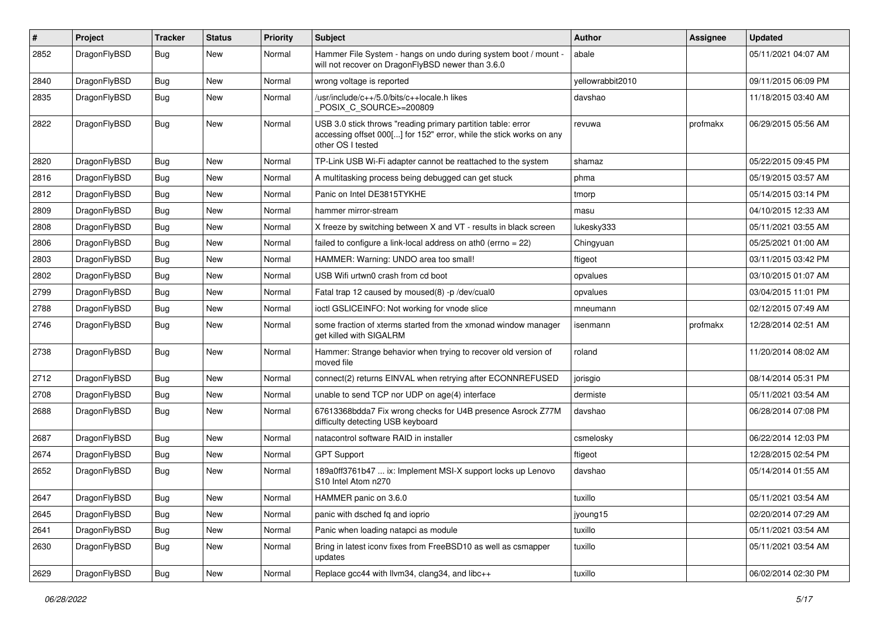| #    | Project      | <b>Tracker</b> | <b>Status</b> | <b>Priority</b> | Subject                                                                                                                                                  | <b>Author</b>    | Assignee | <b>Updated</b>      |
|------|--------------|----------------|---------------|-----------------|----------------------------------------------------------------------------------------------------------------------------------------------------------|------------------|----------|---------------------|
| 2852 | DragonFlyBSD | Bug            | <b>New</b>    | Normal          | Hammer File System - hangs on undo during system boot / mount -<br>will not recover on DragonFlyBSD newer than 3.6.0                                     | abale            |          | 05/11/2021 04:07 AM |
| 2840 | DragonFlyBSD | Bug            | New           | Normal          | wrong voltage is reported                                                                                                                                | yellowrabbit2010 |          | 09/11/2015 06:09 PM |
| 2835 | DragonFlyBSD | Bug            | New           | Normal          | /usr/include/c++/5.0/bits/c++locale.h likes<br>POSIX_C_SOURCE>=200809                                                                                    | davshao          |          | 11/18/2015 03:40 AM |
| 2822 | DragonFlyBSD | Bug            | New           | Normal          | USB 3.0 stick throws "reading primary partition table: error<br>accessing offset 000[] for 152" error, while the stick works on any<br>other OS I tested | revuwa           | profmakx | 06/29/2015 05:56 AM |
| 2820 | DragonFlyBSD | Bug            | <b>New</b>    | Normal          | TP-Link USB Wi-Fi adapter cannot be reattached to the system                                                                                             | shamaz           |          | 05/22/2015 09:45 PM |
| 2816 | DragonFlyBSD | Bug            | <b>New</b>    | Normal          | A multitasking process being debugged can get stuck                                                                                                      | phma             |          | 05/19/2015 03:57 AM |
| 2812 | DragonFlyBSD | Bug            | New           | Normal          | Panic on Intel DE3815TYKHE                                                                                                                               | tmorp            |          | 05/14/2015 03:14 PM |
| 2809 | DragonFlyBSD | Bug            | New           | Normal          | hammer mirror-stream                                                                                                                                     | masu             |          | 04/10/2015 12:33 AM |
| 2808 | DragonFlyBSD | Bug            | <b>New</b>    | Normal          | X freeze by switching between X and VT - results in black screen                                                                                         | lukesky333       |          | 05/11/2021 03:55 AM |
| 2806 | DragonFlyBSD | Bug            | New           | Normal          | failed to configure a link-local address on ath $0$ (errno = 22)                                                                                         | Chingyuan        |          | 05/25/2021 01:00 AM |
| 2803 | DragonFlyBSD | Bug            | <b>New</b>    | Normal          | HAMMER: Warning: UNDO area too small!                                                                                                                    | ftigeot          |          | 03/11/2015 03:42 PM |
| 2802 | DragonFlyBSD | Bug            | New           | Normal          | USB Wifi urtwn0 crash from cd boot                                                                                                                       | opvalues         |          | 03/10/2015 01:07 AM |
| 2799 | DragonFlyBSD | Bug            | New           | Normal          | Fatal trap 12 caused by moused(8) -p /dev/cual0                                                                                                          | opvalues         |          | 03/04/2015 11:01 PM |
| 2788 | DragonFlyBSD | Bug            | <b>New</b>    | Normal          | ioctl GSLICEINFO: Not working for vnode slice                                                                                                            | mneumann         |          | 02/12/2015 07:49 AM |
| 2746 | DragonFlyBSD | <b>Bug</b>     | New           | Normal          | some fraction of xterms started from the xmonad window manager<br>get killed with SIGALRM                                                                | isenmann         | profmakx | 12/28/2014 02:51 AM |
| 2738 | DragonFlyBSD | Bug            | New           | Normal          | Hammer: Strange behavior when trying to recover old version of<br>moved file                                                                             | roland           |          | 11/20/2014 08:02 AM |
| 2712 | DragonFlyBSD | Bug            | <b>New</b>    | Normal          | connect(2) returns EINVAL when retrying after ECONNREFUSED                                                                                               | jorisgio         |          | 08/14/2014 05:31 PM |
| 2708 | DragonFlyBSD | <b>Bug</b>     | New           | Normal          | unable to send TCP nor UDP on age(4) interface                                                                                                           | dermiste         |          | 05/11/2021 03:54 AM |
| 2688 | DragonFlyBSD | <b>Bug</b>     | New           | Normal          | 67613368bdda7 Fix wrong checks for U4B presence Asrock Z77M<br>difficulty detecting USB keyboard                                                         | davshao          |          | 06/28/2014 07:08 PM |
| 2687 | DragonFlyBSD | <b>Bug</b>     | New           | Normal          | natacontrol software RAID in installer                                                                                                                   | csmelosky        |          | 06/22/2014 12:03 PM |
| 2674 | DragonFlyBSD | <b>Bug</b>     | New           | Normal          | <b>GPT Support</b>                                                                                                                                       | ftigeot          |          | 12/28/2015 02:54 PM |
| 2652 | DragonFlyBSD | Bug            | New           | Normal          | 189a0ff3761b47  ix: Implement MSI-X support locks up Lenovo<br>S <sub>10</sub> Intel Atom n <sub>270</sub>                                               | davshao          |          | 05/14/2014 01:55 AM |
| 2647 | DragonFlyBSD | <b>Bug</b>     | New           | Normal          | HAMMER panic on 3.6.0                                                                                                                                    | tuxillo          |          | 05/11/2021 03:54 AM |
| 2645 | DragonFlyBSD | Bug            | New           | Normal          | panic with dsched fq and ioprio                                                                                                                          | jyoung15         |          | 02/20/2014 07:29 AM |
| 2641 | DragonFlyBSD | <b>Bug</b>     | New           | Normal          | Panic when loading natapci as module                                                                                                                     | tuxillo          |          | 05/11/2021 03:54 AM |
| 2630 | DragonFlyBSD | Bug            | New           | Normal          | Bring in latest iconv fixes from FreeBSD10 as well as csmapper<br>updates                                                                                | tuxillo          |          | 05/11/2021 03:54 AM |
| 2629 | DragonFlyBSD | Bug            | New           | Normal          | Replace gcc44 with llvm34, clang34, and libc++                                                                                                           | tuxillo          |          | 06/02/2014 02:30 PM |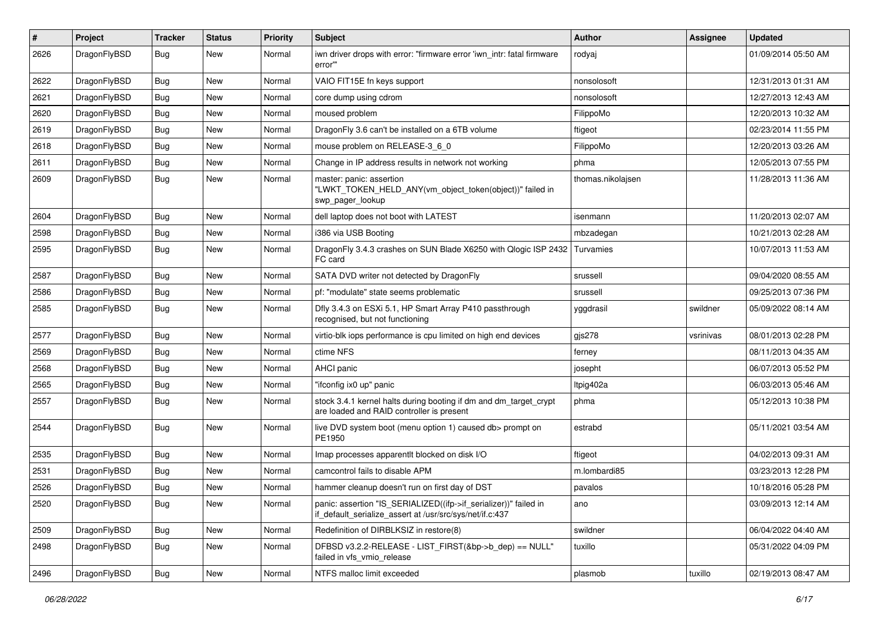| $\pmb{\#}$ | Project      | <b>Tracker</b> | <b>Status</b> | <b>Priority</b> | Subject                                                                                                                      | Author            | Assignee  | <b>Updated</b>      |
|------------|--------------|----------------|---------------|-----------------|------------------------------------------------------------------------------------------------------------------------------|-------------------|-----------|---------------------|
| 2626       | DragonFlyBSD | Bug            | <b>New</b>    | Normal          | iwn driver drops with error: "firmware error 'iwn_intr: fatal firmware<br>error"                                             | rodyaj            |           | 01/09/2014 05:50 AM |
| 2622       | DragonFlyBSD | Bug            | <b>New</b>    | Normal          | VAIO FIT15E fn keys support                                                                                                  | nonsolosoft       |           | 12/31/2013 01:31 AM |
| 2621       | DragonFlyBSD | Bug            | New           | Normal          | core dump using cdrom                                                                                                        | nonsolosoft       |           | 12/27/2013 12:43 AM |
| 2620       | DragonFlyBSD | <b>Bug</b>     | New           | Normal          | moused problem                                                                                                               | FilippoMo         |           | 12/20/2013 10:32 AM |
| 2619       | DragonFlyBSD | <b>Bug</b>     | New           | Normal          | DragonFly 3.6 can't be installed on a 6TB volume                                                                             | ftigeot           |           | 02/23/2014 11:55 PM |
| 2618       | DragonFlyBSD | <b>Bug</b>     | <b>New</b>    | Normal          | mouse problem on RELEASE-3 6 0                                                                                               | FilippoMo         |           | 12/20/2013 03:26 AM |
| 2611       | DragonFlyBSD | <b>Bug</b>     | New           | Normal          | Change in IP address results in network not working                                                                          | phma              |           | 12/05/2013 07:55 PM |
| 2609       | DragonFlyBSD | Bug            | New           | Normal          | master: panic: assertion<br>"LWKT_TOKEN_HELD_ANY(vm_object_token(object))" failed in<br>swp_pager_lookup                     | thomas.nikolajsen |           | 11/28/2013 11:36 AM |
| 2604       | DragonFlyBSD | Bug            | <b>New</b>    | Normal          | dell laptop does not boot with LATEST                                                                                        | isenmann          |           | 11/20/2013 02:07 AM |
| 2598       | DragonFlyBSD | Bug            | <b>New</b>    | Normal          | i386 via USB Booting                                                                                                         | mbzadegan         |           | 10/21/2013 02:28 AM |
| 2595       | DragonFlyBSD | Bug            | New           | Normal          | DragonFly 3.4.3 crashes on SUN Blade X6250 with Qlogic ISP 2432<br>FC card                                                   | Turvamies         |           | 10/07/2013 11:53 AM |
| 2587       | DragonFlyBSD | <b>Bug</b>     | <b>New</b>    | Normal          | SATA DVD writer not detected by DragonFly                                                                                    | srussell          |           | 09/04/2020 08:55 AM |
| 2586       | DragonFlyBSD | <b>Bug</b>     | New           | Normal          | pf: "modulate" state seems problematic                                                                                       | srussell          |           | 09/25/2013 07:36 PM |
| 2585       | DragonFlyBSD | <b>Bug</b>     | <b>New</b>    | Normal          | Dfly 3.4.3 on ESXi 5.1, HP Smart Array P410 passthrough<br>recognised, but not functioning                                   | yggdrasil         | swildner  | 05/09/2022 08:14 AM |
| 2577       | DragonFlyBSD | Bug            | <b>New</b>    | Normal          | virtio-blk iops performance is cpu limited on high end devices                                                               | $g$ js278         | vsrinivas | 08/01/2013 02:28 PM |
| 2569       | DragonFlyBSD | <b>Bug</b>     | New           | Normal          | ctime NFS                                                                                                                    | ferney            |           | 08/11/2013 04:35 AM |
| 2568       | DragonFlyBSD | <b>Bug</b>     | New           | Normal          | <b>AHCI</b> panic                                                                                                            | josepht           |           | 06/07/2013 05:52 PM |
| 2565       | DragonFlyBSD | <b>Bug</b>     | <b>New</b>    | Normal          | "ifconfig ix0 up" panic                                                                                                      | Itpig402a         |           | 06/03/2013 05:46 AM |
| 2557       | DragonFlyBSD | Bug            | New           | Normal          | stock 3.4.1 kernel halts during booting if dm and dm_target_crypt<br>are loaded and RAID controller is present               | phma              |           | 05/12/2013 10:38 PM |
| 2544       | DragonFlyBSD | Bug            | <b>New</b>    | Normal          | live DVD system boot (menu option 1) caused db> prompt on<br>PE1950                                                          | estrabd           |           | 05/11/2021 03:54 AM |
| 2535       | DragonFlyBSD | <b>Bug</b>     | <b>New</b>    | Normal          | Imap processes apparentlt blocked on disk I/O                                                                                | ftigeot           |           | 04/02/2013 09:31 AM |
| 2531       | DragonFlyBSD | <b>Bug</b>     | <b>New</b>    | Normal          | camcontrol fails to disable APM                                                                                              | m.lombardi85      |           | 03/23/2013 12:28 PM |
| 2526       | DragonFlyBSD | <b>Bug</b>     | New           | Normal          | hammer cleanup doesn't run on first day of DST                                                                               | pavalos           |           | 10/18/2016 05:28 PM |
| 2520       | DragonFlyBSD | <b>Bug</b>     | New           | Normal          | panic: assertion "IS_SERIALIZED((ifp->if_serializer))" failed in<br>if default serialize assert at /usr/src/sys/net/if.c:437 | ano               |           | 03/09/2013 12:14 AM |
| 2509       | DragonFlyBSD | <b>Bug</b>     | New           | Normal          | Redefinition of DIRBLKSIZ in restore(8)                                                                                      | swildner          |           | 06/04/2022 04:40 AM |
| 2498       | DragonFlyBSD | Bug            | New           | Normal          | DFBSD v3.2.2-RELEASE - LIST_FIRST(&bp->b_dep) == NULL"<br>failed in vfs vmio release                                         | tuxillo           |           | 05/31/2022 04:09 PM |
| 2496       | DragonFlyBSD | <b>Bug</b>     | New           | Normal          | NTFS malloc limit exceeded                                                                                                   | plasmob           | tuxillo   | 02/19/2013 08:47 AM |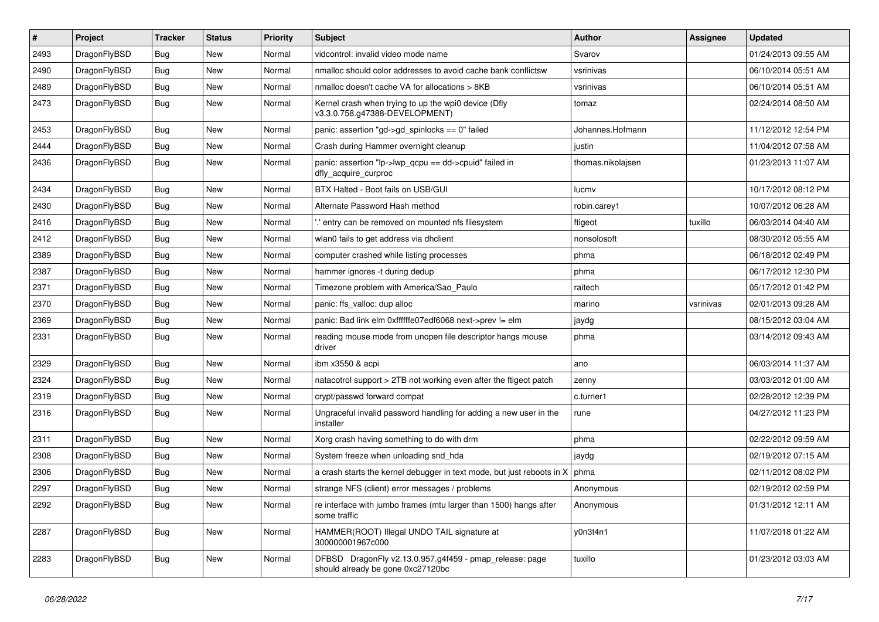| $\vert$ # | Project      | <b>Tracker</b> | <b>Status</b> | <b>Priority</b> | <b>Subject</b>                                                                               | <b>Author</b>     | Assignee  | <b>Updated</b>      |
|-----------|--------------|----------------|---------------|-----------------|----------------------------------------------------------------------------------------------|-------------------|-----------|---------------------|
| 2493      | DragonFlyBSD | <b>Bug</b>     | <b>New</b>    | Normal          | vidcontrol: invalid video mode name                                                          | Svarov            |           | 01/24/2013 09:55 AM |
| 2490      | DragonFlyBSD | Bug            | <b>New</b>    | Normal          | nmalloc should color addresses to avoid cache bank conflictsw                                | vsrinivas         |           | 06/10/2014 05:51 AM |
| 2489      | DragonFlyBSD | Bug            | <b>New</b>    | Normal          | nmalloc doesn't cache VA for allocations > 8KB                                               | vsrinivas         |           | 06/10/2014 05:51 AM |
| 2473      | DragonFlyBSD | Bug            | <b>New</b>    | Normal          | Kernel crash when trying to up the wpi0 device (Dfly<br>v3.3.0.758.g47388-DEVELOPMENT)       | tomaz             |           | 02/24/2014 08:50 AM |
| 2453      | DragonFlyBSD | Bug            | <b>New</b>    | Normal          | panic: assertion "gd->gd spinlocks == $0$ " failed                                           | Johannes.Hofmann  |           | 11/12/2012 12:54 PM |
| 2444      | DragonFlyBSD | <b>Bug</b>     | <b>New</b>    | Normal          | Crash during Hammer overnight cleanup                                                        | justin            |           | 11/04/2012 07:58 AM |
| 2436      | DragonFlyBSD | <b>Bug</b>     | <b>New</b>    | Normal          | panic: assertion "lp->lwp qcpu == dd->cpuid" failed in<br>dfly_acquire_curproc               | thomas.nikolajsen |           | 01/23/2013 11:07 AM |
| 2434      | DragonFlyBSD | Bug            | <b>New</b>    | Normal          | BTX Halted - Boot fails on USB/GUI                                                           | lucmv             |           | 10/17/2012 08:12 PM |
| 2430      | DragonFlyBSD | Bug            | <b>New</b>    | Normal          | Alternate Password Hash method                                                               | robin.carey1      |           | 10/07/2012 06:28 AM |
| 2416      | DragonFlyBSD | <b>Bug</b>     | <b>New</b>    | Normal          | ".' entry can be removed on mounted nfs filesystem                                           | ftigeot           | tuxillo   | 06/03/2014 04:40 AM |
| 2412      | DragonFlyBSD | <b>Bug</b>     | New           | Normal          | wlan0 fails to get address via dhclient                                                      | nonsolosoft       |           | 08/30/2012 05:55 AM |
| 2389      | DragonFlyBSD | <b>Bug</b>     | <b>New</b>    | Normal          | computer crashed while listing processes                                                     | phma              |           | 06/18/2012 02:49 PM |
| 2387      | DragonFlyBSD | Bug            | <b>New</b>    | Normal          | hammer ignores -t during dedup                                                               | phma              |           | 06/17/2012 12:30 PM |
| 2371      | DragonFlyBSD | <b>Bug</b>     | New           | Normal          | Timezone problem with America/Sao_Paulo                                                      | raitech           |           | 05/17/2012 01:42 PM |
| 2370      | DragonFlyBSD | <b>Bug</b>     | <b>New</b>    | Normal          | panic: ffs_valloc: dup alloc                                                                 | marino            | vsrinivas | 02/01/2013 09:28 AM |
| 2369      | DragonFlyBSD | <b>Bug</b>     | <b>New</b>    | Normal          | panic: Bad link elm 0xffffffe07edf6068 next->prev != elm                                     | jaydg             |           | 08/15/2012 03:04 AM |
| 2331      | DragonFlyBSD | <b>Bug</b>     | <b>New</b>    | Normal          | reading mouse mode from unopen file descriptor hangs mouse<br>driver                         | phma              |           | 03/14/2012 09:43 AM |
| 2329      | DragonFlyBSD | <b>Bug</b>     | <b>New</b>    | Normal          | ibm x3550 & acpi                                                                             | ano               |           | 06/03/2014 11:37 AM |
| 2324      | DragonFlyBSD | Bug            | <b>New</b>    | Normal          | natacotrol support > 2TB not working even after the ftigeot patch                            | zenny             |           | 03/03/2012 01:00 AM |
| 2319      | DragonFlyBSD | Bug            | <b>New</b>    | Normal          | crypt/passwd forward compat                                                                  | c.turner1         |           | 02/28/2012 12:39 PM |
| 2316      | DragonFlyBSD | Bug            | <b>New</b>    | Normal          | Ungraceful invalid password handling for adding a new user in the<br>installer               | rune              |           | 04/27/2012 11:23 PM |
| 2311      | DragonFlyBSD | <b>Bug</b>     | <b>New</b>    | Normal          | Xorg crash having something to do with drm                                                   | phma              |           | 02/22/2012 09:59 AM |
| 2308      | DragonFlyBSD | <b>Bug</b>     | <b>New</b>    | Normal          | System freeze when unloading snd hda                                                         | jaydg             |           | 02/19/2012 07:15 AM |
| 2306      | DragonFlyBSD | <b>Bug</b>     | <b>New</b>    | Normal          | a crash starts the kernel debugger in text mode, but just reboots in X                       | phma              |           | 02/11/2012 08:02 PM |
| 2297      | DragonFlyBSD | <b>Bug</b>     | <b>New</b>    | Normal          | strange NFS (client) error messages / problems                                               | Anonymous         |           | 02/19/2012 02:59 PM |
| 2292      | DragonFlyBSD | <b>Bug</b>     | <b>New</b>    | Normal          | re interface with jumbo frames (mtu larger than 1500) hangs after<br>some traffic            | Anonymous         |           | 01/31/2012 12:11 AM |
| 2287      | DragonFlyBSD | <b>Bug</b>     | <b>New</b>    | Normal          | HAMMER(ROOT) Illegal UNDO TAIL signature at<br>300000001967c000                              | y0n3t4n1          |           | 11/07/2018 01:22 AM |
| 2283      | DragonFlyBSD | <b>Bug</b>     | <b>New</b>    | Normal          | DFBSD DragonFly v2.13.0.957.g4f459 - pmap_release: page<br>should already be gone 0xc27120bc | tuxillo           |           | 01/23/2012 03:03 AM |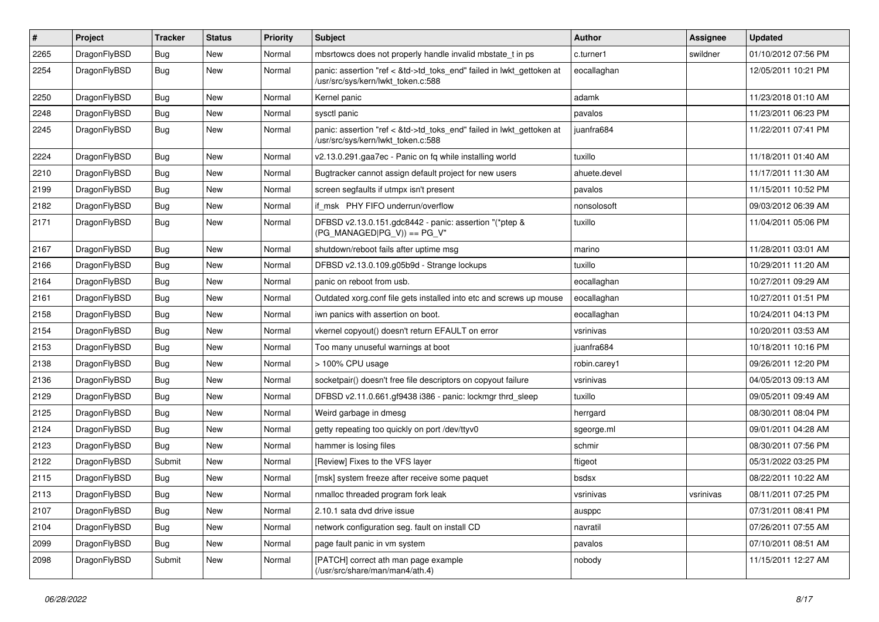| #    | Project      | <b>Tracker</b> | <b>Status</b> | <b>Priority</b> | Subject                                                                                                    | Author       | <b>Assignee</b> | <b>Updated</b>      |
|------|--------------|----------------|---------------|-----------------|------------------------------------------------------------------------------------------------------------|--------------|-----------------|---------------------|
| 2265 | DragonFlyBSD | <b>Bug</b>     | <b>New</b>    | Normal          | mbsrtowcs does not properly handle invalid mbstate_t in ps                                                 | c.turner1    | swildner        | 01/10/2012 07:56 PM |
| 2254 | DragonFlyBSD | Bug            | <b>New</b>    | Normal          | panic: assertion "ref < &td->td_toks_end" failed in lwkt_gettoken at<br>/usr/src/sys/kern/lwkt token.c:588 | eocallaghan  |                 | 12/05/2011 10:21 PM |
| 2250 | DragonFlyBSD | Bug            | New           | Normal          | Kernel panic                                                                                               | adamk        |                 | 11/23/2018 01:10 AM |
| 2248 | DragonFlyBSD | <b>Bug</b>     | New           | Normal          | sysctl panic                                                                                               | pavalos      |                 | 11/23/2011 06:23 PM |
| 2245 | DragonFlyBSD | <b>Bug</b>     | <b>New</b>    | Normal          | panic: assertion "ref < &td->td_toks_end" failed in lwkt_gettoken at<br>/usr/src/sys/kern/lwkt_token.c:588 | juanfra684   |                 | 11/22/2011 07:41 PM |
| 2224 | DragonFlyBSD | Bug            | <b>New</b>    | Normal          | v2.13.0.291.gaa7ec - Panic on fq while installing world                                                    | tuxillo      |                 | 11/18/2011 01:40 AM |
| 2210 | DragonFlyBSD | <b>Bug</b>     | New           | Normal          | Bugtracker cannot assign default project for new users                                                     | ahuete.devel |                 | 11/17/2011 11:30 AM |
| 2199 | DragonFlyBSD | Bug            | New           | Normal          | screen segfaults if utmpx isn't present                                                                    | pavalos      |                 | 11/15/2011 10:52 PM |
| 2182 | DragonFlyBSD | Bug            | New           | Normal          | if msk PHY FIFO underrun/overflow                                                                          | nonsolosoft  |                 | 09/03/2012 06:39 AM |
| 2171 | DragonFlyBSD | <b>Bug</b>     | <b>New</b>    | Normal          | DFBSD v2.13.0.151.gdc8442 - panic: assertion "(*ptep &<br>$(PG$ MANAGED PG V)) == PG V"                    | tuxillo      |                 | 11/04/2011 05:06 PM |
| 2167 | DragonFlyBSD | Bug            | <b>New</b>    | Normal          | shutdown/reboot fails after uptime msg                                                                     | marino       |                 | 11/28/2011 03:01 AM |
| 2166 | DragonFlyBSD | <b>Bug</b>     | New           | Normal          | DFBSD v2.13.0.109.g05b9d - Strange lockups                                                                 | tuxillo      |                 | 10/29/2011 11:20 AM |
| 2164 | DragonFlyBSD | Bug            | <b>New</b>    | Normal          | panic on reboot from usb.                                                                                  | eocallaghan  |                 | 10/27/2011 09:29 AM |
| 2161 | DragonFlyBSD | Bug            | New           | Normal          | Outdated xorg.conf file gets installed into etc and screws up mouse                                        | eocallaghan  |                 | 10/27/2011 01:51 PM |
| 2158 | DragonFlyBSD | Bug            | New           | Normal          | iwn panics with assertion on boot.                                                                         | eocallaghan  |                 | 10/24/2011 04:13 PM |
| 2154 | DragonFlyBSD | <b>Bug</b>     | New           | Normal          | vkernel copyout() doesn't return EFAULT on error                                                           | vsrinivas    |                 | 10/20/2011 03:53 AM |
| 2153 | DragonFlyBSD | <b>Bug</b>     | <b>New</b>    | Normal          | Too many unuseful warnings at boot                                                                         | juanfra684   |                 | 10/18/2011 10:16 PM |
| 2138 | DragonFlyBSD | Bug            | <b>New</b>    | Normal          | > 100% CPU usage                                                                                           | robin.carey1 |                 | 09/26/2011 12:20 PM |
| 2136 | DragonFlyBSD | <b>Bug</b>     | New           | Normal          | socketpair() doesn't free file descriptors on copyout failure                                              | vsrinivas    |                 | 04/05/2013 09:13 AM |
| 2129 | DragonFlyBSD | Bug            | New           | Normal          | DFBSD v2.11.0.661.gf9438 i386 - panic: lockmgr thrd_sleep                                                  | tuxillo      |                 | 09/05/2011 09:49 AM |
| 2125 | DragonFlyBSD | Bug            | New           | Normal          | Weird garbage in dmesg                                                                                     | herrgard     |                 | 08/30/2011 08:04 PM |
| 2124 | DragonFlyBSD | <b>Bug</b>     | New           | Normal          | getty repeating too quickly on port /dev/ttyv0                                                             | sgeorge.ml   |                 | 09/01/2011 04:28 AM |
| 2123 | DragonFlyBSD | <b>Bug</b>     | New           | Normal          | hammer is losing files                                                                                     | schmir       |                 | 08/30/2011 07:56 PM |
| 2122 | DragonFlyBSD | Submit         | New           | Normal          | [Review] Fixes to the VFS layer                                                                            | ftigeot      |                 | 05/31/2022 03:25 PM |
| 2115 | DragonFlyBSD | Bug            | New           | Normal          | [msk] system freeze after receive some paquet                                                              | bsdsx        |                 | 08/22/2011 10:22 AM |
| 2113 | DragonFlyBSD | Bug            | <b>New</b>    | Normal          | nmalloc threaded program fork leak                                                                         | vsrinivas    | vsrinivas       | 08/11/2011 07:25 PM |
| 2107 | DragonFlyBSD | <b>Bug</b>     | <b>New</b>    | Normal          | 2.10.1 sata dvd drive issue                                                                                | ausppc       |                 | 07/31/2011 08:41 PM |
| 2104 | DragonFlyBSD | Bug            | <b>New</b>    | Normal          | network configuration seg. fault on install CD                                                             | navratil     |                 | 07/26/2011 07:55 AM |
| 2099 | DragonFlyBSD | <b>Bug</b>     | <b>New</b>    | Normal          | page fault panic in vm system                                                                              | pavalos      |                 | 07/10/2011 08:51 AM |
| 2098 | DragonFlyBSD | Submit         | New           | Normal          | [PATCH] correct ath man page example<br>(/usr/src/share/man/man4/ath.4)                                    | nobody       |                 | 11/15/2011 12:27 AM |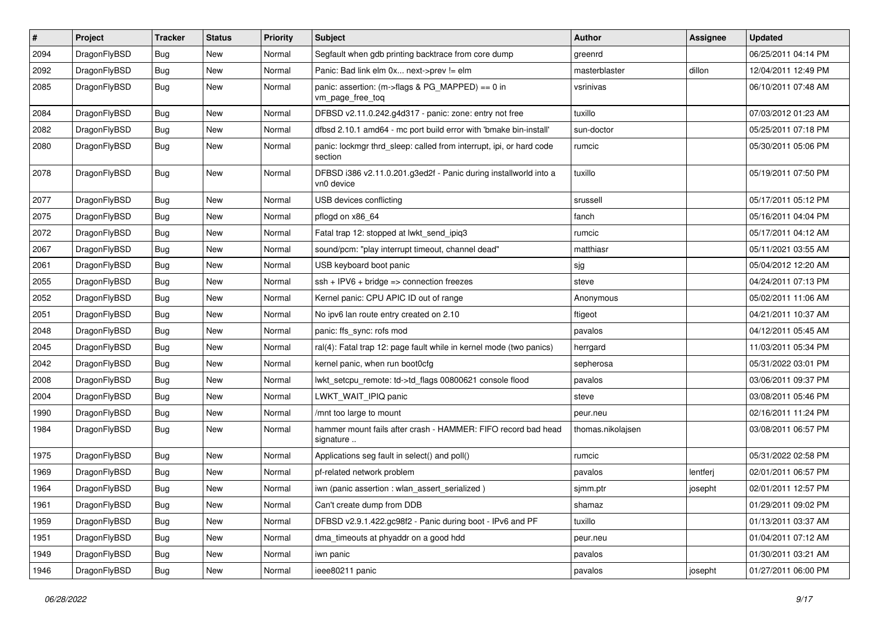| $\sharp$ | Project      | <b>Tracker</b> | <b>Status</b> | <b>Priority</b> | Subject                                                                        | Author            | Assignee | <b>Updated</b>      |
|----------|--------------|----------------|---------------|-----------------|--------------------------------------------------------------------------------|-------------------|----------|---------------------|
| 2094     | DragonFlyBSD | <b>Bug</b>     | New           | Normal          | Segfault when gdb printing backtrace from core dump                            | greenrd           |          | 06/25/2011 04:14 PM |
| 2092     | DragonFlyBSD | Bug            | New           | Normal          | Panic: Bad link elm 0x next->prev != elm                                       | masterblaster     | dillon   | 12/04/2011 12:49 PM |
| 2085     | DragonFlyBSD | <b>Bug</b>     | <b>New</b>    | Normal          | panic: assertion: (m->flags & PG_MAPPED) == 0 in<br>vm_page_free_toq           | vsrinivas         |          | 06/10/2011 07:48 AM |
| 2084     | DragonFlyBSD | Bug            | <b>New</b>    | Normal          | DFBSD v2.11.0.242.g4d317 - panic: zone: entry not free                         | tuxillo           |          | 07/03/2012 01:23 AM |
| 2082     | DragonFlyBSD | <b>Bug</b>     | New           | Normal          | dfbsd 2.10.1 amd64 - mc port build error with 'bmake bin-install'              | sun-doctor        |          | 05/25/2011 07:18 PM |
| 2080     | DragonFlyBSD | <b>Bug</b>     | New           | Normal          | panic: lockmgr thrd sleep: called from interrupt, ipi, or hard code<br>section | rumcic            |          | 05/30/2011 05:06 PM |
| 2078     | DragonFlyBSD | Bug            | <b>New</b>    | Normal          | DFBSD i386 v2.11.0.201.g3ed2f - Panic during installworld into a<br>vn0 device | tuxillo           |          | 05/19/2011 07:50 PM |
| 2077     | DragonFlyBSD | <b>Bug</b>     | <b>New</b>    | Normal          | USB devices conflicting                                                        | srussell          |          | 05/17/2011 05:12 PM |
| 2075     | DragonFlyBSD | <b>Bug</b>     | New           | Normal          | pflogd on x86_64                                                               | fanch             |          | 05/16/2011 04:04 PM |
| 2072     | DragonFlyBSD | Bug            | <b>New</b>    | Normal          | Fatal trap 12: stopped at lwkt send ipig3                                      | rumcic            |          | 05/17/2011 04:12 AM |
| 2067     | DragonFlyBSD | <b>Bug</b>     | New           | Normal          | sound/pcm: "play interrupt timeout, channel dead"                              | matthiasr         |          | 05/11/2021 03:55 AM |
| 2061     | DragonFlyBSD | <b>Bug</b>     | New           | Normal          | USB keyboard boot panic                                                        | sjg               |          | 05/04/2012 12:20 AM |
| 2055     | DragonFlyBSD | <b>Bug</b>     | <b>New</b>    | Normal          | $ssh + IPV6 + bridge \Rightarrow connection freezes$                           | steve             |          | 04/24/2011 07:13 PM |
| 2052     | DragonFlyBSD | <b>Bug</b>     | New           | Normal          | Kernel panic: CPU APIC ID out of range                                         | Anonymous         |          | 05/02/2011 11:06 AM |
| 2051     | DragonFlyBSD | Bug            | <b>New</b>    | Normal          | No ipv6 lan route entry created on 2.10                                        | ftigeot           |          | 04/21/2011 10:37 AM |
| 2048     | DragonFlyBSD | <b>Bug</b>     | New           | Normal          | panic: ffs sync: rofs mod                                                      | pavalos           |          | 04/12/2011 05:45 AM |
| 2045     | DragonFlyBSD | <b>Bug</b>     | <b>New</b>    | Normal          | ral(4): Fatal trap 12: page fault while in kernel mode (two panics)            | herrgard          |          | 11/03/2011 05:34 PM |
| 2042     | DragonFlyBSD | <b>Bug</b>     | New           | Normal          | kernel panic, when run boot0cfg                                                | sepherosa         |          | 05/31/2022 03:01 PM |
| 2008     | DragonFlyBSD | <b>Bug</b>     | <b>New</b>    | Normal          | lwkt_setcpu_remote: td->td_flags 00800621 console flood                        | pavalos           |          | 03/06/2011 09:37 PM |
| 2004     | DragonFlyBSD | Bug            | <b>New</b>    | Normal          | LWKT_WAIT_IPIQ panic                                                           | steve             |          | 03/08/2011 05:46 PM |
| 1990     | DragonFlyBSD | <b>Bug</b>     | <b>New</b>    | Normal          | /mnt too large to mount                                                        | peur.neu          |          | 02/16/2011 11:24 PM |
| 1984     | DragonFlyBSD | Bug            | New           | Normal          | hammer mount fails after crash - HAMMER: FIFO record bad head<br>signature     | thomas.nikolajsen |          | 03/08/2011 06:57 PM |
| 1975     | DragonFlyBSD | Bug            | <b>New</b>    | Normal          | Applications seg fault in select() and poll()                                  | rumcic            |          | 05/31/2022 02:58 PM |
| 1969     | DragonFlyBSD | Bug            | <b>New</b>    | Normal          | pf-related network problem                                                     | pavalos           | lentferj | 02/01/2011 06:57 PM |
| 1964     | DragonFlyBSD | <b>Bug</b>     | New           | Normal          | iwn (panic assertion : wlan assert serialized)                                 | sjmm.ptr          | josepht  | 02/01/2011 12:57 PM |
| 1961     | DragonFlyBSD | <b>Bug</b>     | New           | Normal          | Can't create dump from DDB                                                     | shamaz            |          | 01/29/2011 09:02 PM |
| 1959     | DragonFlyBSD | <b>Bug</b>     | New           | Normal          | DFBSD v2.9.1.422.gc98f2 - Panic during boot - IPv6 and PF                      | tuxillo           |          | 01/13/2011 03:37 AM |
| 1951     | DragonFlyBSD | <b>Bug</b>     | New           | Normal          | dma_timeouts at phyaddr on a good hdd                                          | peur.neu          |          | 01/04/2011 07:12 AM |
| 1949     | DragonFlyBSD | <b>Bug</b>     | New           | Normal          | iwn panic                                                                      | pavalos           |          | 01/30/2011 03:21 AM |
| 1946     | DragonFlyBSD | <b>Bug</b>     | New           | Normal          | ieee80211 panic                                                                | pavalos           | josepht  | 01/27/2011 06:00 PM |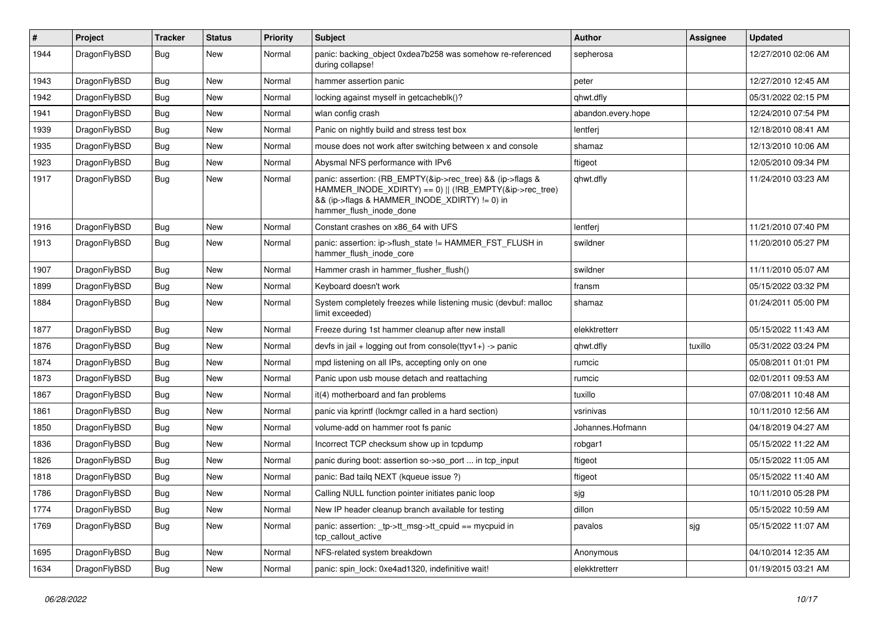| #    | Project      | <b>Tracker</b> | <b>Status</b> | <b>Priority</b> | Subject                                                                                                                                                                                           | Author             | <b>Assignee</b> | <b>Updated</b>      |
|------|--------------|----------------|---------------|-----------------|---------------------------------------------------------------------------------------------------------------------------------------------------------------------------------------------------|--------------------|-----------------|---------------------|
| 1944 | DragonFlyBSD | Bug            | <b>New</b>    | Normal          | panic: backing object 0xdea7b258 was somehow re-referenced<br>during collapse!                                                                                                                    | sepherosa          |                 | 12/27/2010 02:06 AM |
| 1943 | DragonFlyBSD | <b>Bug</b>     | New           | Normal          | hammer assertion panic                                                                                                                                                                            | peter              |                 | 12/27/2010 12:45 AM |
| 1942 | DragonFlyBSD | Bug            | New           | Normal          | locking against myself in getcacheblk()?                                                                                                                                                          | qhwt.dfly          |                 | 05/31/2022 02:15 PM |
| 1941 | DragonFlyBSD | <b>Bug</b>     | New           | Normal          | wlan config crash                                                                                                                                                                                 | abandon.every.hope |                 | 12/24/2010 07:54 PM |
| 1939 | DragonFlyBSD | <b>Bug</b>     | New           | Normal          | Panic on nightly build and stress test box                                                                                                                                                        | lentferj           |                 | 12/18/2010 08:41 AM |
| 1935 | DragonFlyBSD | <b>Bug</b>     | New           | Normal          | mouse does not work after switching between x and console                                                                                                                                         | shamaz             |                 | 12/13/2010 10:06 AM |
| 1923 | DragonFlyBSD | Bug            | New           | Normal          | Abysmal NFS performance with IPv6                                                                                                                                                                 | ftigeot            |                 | 12/05/2010 09:34 PM |
| 1917 | DragonFlyBSD | Bug            | New           | Normal          | panic: assertion: (RB_EMPTY(&ip->rec_tree) && (ip->flags &<br>HAMMER_INODE_XDIRTY) == 0)    (!RB_EMPTY(&ip->rec_tree)<br>&& (ip->flags & HAMMER_INODE_XDIRTY) != 0) in<br>hammer_flush_inode_done | qhwt.dfly          |                 | 11/24/2010 03:23 AM |
| 1916 | DragonFlyBSD | <b>Bug</b>     | <b>New</b>    | Normal          | Constant crashes on x86_64 with UFS                                                                                                                                                               | lentferj           |                 | 11/21/2010 07:40 PM |
| 1913 | DragonFlyBSD | Bug            | New           | Normal          | panic: assertion: ip->flush_state != HAMMER_FST_FLUSH in<br>hammer_flush_inode_core                                                                                                               | swildner           |                 | 11/20/2010 05:27 PM |
| 1907 | DragonFlyBSD | Bug            | <b>New</b>    | Normal          | Hammer crash in hammer flusher flush()                                                                                                                                                            | swildner           |                 | 11/11/2010 05:07 AM |
| 1899 | DragonFlyBSD | <b>Bug</b>     | New           | Normal          | Keyboard doesn't work                                                                                                                                                                             | fransm             |                 | 05/15/2022 03:32 PM |
| 1884 | DragonFlyBSD | <b>Bug</b>     | New           | Normal          | System completely freezes while listening music (devbuf: malloc<br>limit exceeded)                                                                                                                | shamaz             |                 | 01/24/2011 05:00 PM |
| 1877 | DragonFlyBSD | <b>Bug</b>     | <b>New</b>    | Normal          | Freeze during 1st hammer cleanup after new install                                                                                                                                                | elekktretterr      |                 | 05/15/2022 11:43 AM |
| 1876 | DragonFlyBSD | <b>Bug</b>     | New           | Normal          | devfs in jail + logging out from console(ttyv1+) -> panic                                                                                                                                         | qhwt.dfly          | tuxillo         | 05/31/2022 03:24 PM |
| 1874 | DragonFlyBSD | Bug            | New           | Normal          | mpd listening on all IPs, accepting only on one                                                                                                                                                   | rumcic             |                 | 05/08/2011 01:01 PM |
| 1873 | DragonFlyBSD | Bug            | New           | Normal          | Panic upon usb mouse detach and reattaching                                                                                                                                                       | rumcic             |                 | 02/01/2011 09:53 AM |
| 1867 | DragonFlyBSD | <b>Bug</b>     | New           | Normal          | it(4) motherboard and fan problems                                                                                                                                                                | tuxillo            |                 | 07/08/2011 10:48 AM |
| 1861 | DragonFlyBSD | Bug            | New           | Normal          | panic via kprintf (lockmgr called in a hard section)                                                                                                                                              | vsrinivas          |                 | 10/11/2010 12:56 AM |
| 1850 | DragonFlyBSD | <b>Bug</b>     | New           | Normal          | volume-add on hammer root fs panic                                                                                                                                                                | Johannes.Hofmann   |                 | 04/18/2019 04:27 AM |
| 1836 | DragonFlyBSD | Bug            | New           | Normal          | Incorrect TCP checksum show up in tcpdump                                                                                                                                                         | robgar1            |                 | 05/15/2022 11:22 AM |
| 1826 | DragonFlyBSD | Bug            | New           | Normal          | panic during boot: assertion so->so_port  in tcp_input                                                                                                                                            | ftigeot            |                 | 05/15/2022 11:05 AM |
| 1818 | DragonFlyBSD | Bug            | New           | Normal          | panic: Bad tailq NEXT (kqueue issue ?)                                                                                                                                                            | ftigeot            |                 | 05/15/2022 11:40 AM |
| 1786 | DragonFlyBSD | <b>Bug</b>     | New           | Normal          | Calling NULL function pointer initiates panic loop                                                                                                                                                | sjg                |                 | 10/11/2010 05:28 PM |
| 1774 | DragonFlyBSD | Bug            | New           | Normal          | New IP header cleanup branch available for testing                                                                                                                                                | dillon             |                 | 05/15/2022 10:59 AM |
| 1769 | DragonFlyBSD | <b>Bug</b>     | New           | Normal          | panic: assertion: _tp->tt_msg->tt_cpuid == mycpuid in<br>tcp_callout_active                                                                                                                       | pavalos            | sjg             | 05/15/2022 11:07 AM |
| 1695 | DragonFlyBSD | <b>Bug</b>     | New           | Normal          | NFS-related system breakdown                                                                                                                                                                      | Anonymous          |                 | 04/10/2014 12:35 AM |
| 1634 | DragonFlyBSD | Bug            | New           | Normal          | panic: spin_lock: 0xe4ad1320, indefinitive wait!                                                                                                                                                  | elekktretterr      |                 | 01/19/2015 03:21 AM |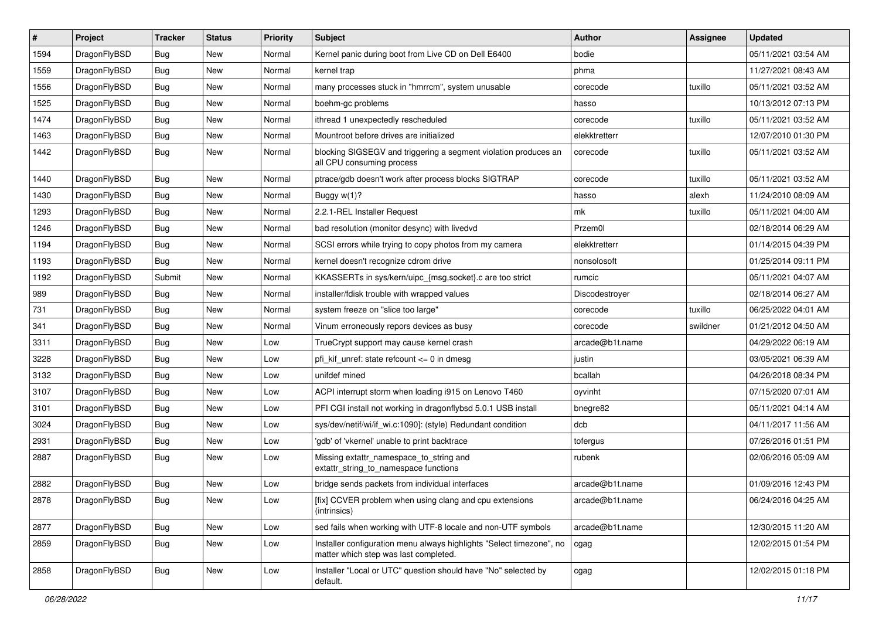| $\vert$ # | Project      | <b>Tracker</b> | <b>Status</b> | <b>Priority</b> | <b>Subject</b>                                                                                                | <b>Author</b>   | Assignee | <b>Updated</b>      |
|-----------|--------------|----------------|---------------|-----------------|---------------------------------------------------------------------------------------------------------------|-----------------|----------|---------------------|
| 1594      | DragonFlyBSD | <b>Bug</b>     | New           | Normal          | Kernel panic during boot from Live CD on Dell E6400                                                           | bodie           |          | 05/11/2021 03:54 AM |
| 1559      | DragonFlyBSD | <b>Bug</b>     | <b>New</b>    | Normal          | kernel trap                                                                                                   | phma            |          | 11/27/2021 08:43 AM |
| 1556      | DragonFlyBSD | <b>Bug</b>     | New           | Normal          | many processes stuck in "hmrrcm", system unusable                                                             | corecode        | tuxillo  | 05/11/2021 03:52 AM |
| 1525      | DragonFlyBSD | <b>Bug</b>     | New           | Normal          | boehm-gc problems                                                                                             | hasso           |          | 10/13/2012 07:13 PM |
| 1474      | DragonFlyBSD | <b>Bug</b>     | New           | Normal          | ithread 1 unexpectedly rescheduled                                                                            | corecode        | tuxillo  | 05/11/2021 03:52 AM |
| 1463      | DragonFlyBSD | <b>Bug</b>     | New           | Normal          | Mountroot before drives are initialized                                                                       | elekktretterr   |          | 12/07/2010 01:30 PM |
| 1442      | DragonFlyBSD | Bug            | New           | Normal          | blocking SIGSEGV and triggering a segment violation produces an<br>all CPU consuming process                  | corecode        | tuxillo  | 05/11/2021 03:52 AM |
| 1440      | DragonFlyBSD | <b>Bug</b>     | New           | Normal          | ptrace/gdb doesn't work after process blocks SIGTRAP                                                          | corecode        | tuxillo  | 05/11/2021 03:52 AM |
| 1430      | DragonFlyBSD | <b>Bug</b>     | New           | Normal          | Buggy w(1)?                                                                                                   | hasso           | alexh    | 11/24/2010 08:09 AM |
| 1293      | DragonFlyBSD | <b>Bug</b>     | New           | Normal          | 2.2.1-REL Installer Request                                                                                   | mk              | tuxillo  | 05/11/2021 04:00 AM |
| 1246      | DragonFlyBSD | <b>Bug</b>     | New           | Normal          | bad resolution (monitor desync) with livedvd                                                                  | Przem0l         |          | 02/18/2014 06:29 AM |
| 1194      | DragonFlyBSD | <b>Bug</b>     | New           | Normal          | SCSI errors while trying to copy photos from my camera                                                        | elekktretterr   |          | 01/14/2015 04:39 PM |
| 1193      | DragonFlyBSD | Bug            | New           | Normal          | kernel doesn't recognize cdrom drive                                                                          | nonsolosoft     |          | 01/25/2014 09:11 PM |
| 1192      | DragonFlyBSD | Submit         | <b>New</b>    | Normal          | KKASSERTs in sys/kern/uipc_{msg,socket}.c are too strict                                                      | rumcic          |          | 05/11/2021 04:07 AM |
| 989       | DragonFlyBSD | Bug            | New           | Normal          | installer/fdisk trouble with wrapped values                                                                   | Discodestroyer  |          | 02/18/2014 06:27 AM |
| 731       | DragonFlyBSD | <b>Bug</b>     | <b>New</b>    | Normal          | system freeze on "slice too large"                                                                            | corecode        | tuxillo  | 06/25/2022 04:01 AM |
| 341       | DragonFlyBSD | Bug            | New           | Normal          | Vinum erroneously repors devices as busy                                                                      | corecode        | swildner | 01/21/2012 04:50 AM |
| 3311      | DragonFlyBSD | <b>Bug</b>     | New           | Low             | TrueCrypt support may cause kernel crash                                                                      | arcade@b1t.name |          | 04/29/2022 06:19 AM |
| 3228      | DragonFlyBSD | <b>Bug</b>     | New           | Low             | pfi_kif_unref: state refcount <= 0 in dmesg                                                                   | justin          |          | 03/05/2021 06:39 AM |
| 3132      | DragonFlyBSD | <b>Bug</b>     | New           | Low             | unifdef mined                                                                                                 | bcallah         |          | 04/26/2018 08:34 PM |
| 3107      | DragonFlyBSD | <b>Bug</b>     | New           | Low             | ACPI interrupt storm when loading i915 on Lenovo T460                                                         | oyvinht         |          | 07/15/2020 07:01 AM |
| 3101      | DragonFlyBSD | <b>Bug</b>     | New           | Low             | PFI CGI install not working in dragonflybsd 5.0.1 USB install                                                 | bnegre82        |          | 05/11/2021 04:14 AM |
| 3024      | DragonFlyBSD | <b>Bug</b>     | New           | Low             | sys/dev/netif/wi/if_wi.c:1090]: (style) Redundant condition                                                   | dcb             |          | 04/11/2017 11:56 AM |
| 2931      | DragonFlyBSD | <b>Bug</b>     | New           | Low             | 'gdb' of 'vkernel' unable to print backtrace                                                                  | tofergus        |          | 07/26/2016 01:51 PM |
| 2887      | DragonFlyBSD | <b>Bug</b>     | <b>New</b>    | Low             | Missing extattr_namespace_to_string and<br>extattr_string_to_namespace functions                              | rubenk          |          | 02/06/2016 05:09 AM |
| 2882      | DragonFlyBSD | <b>Bug</b>     | New           | Low             | bridge sends packets from individual interfaces                                                               | arcade@b1t.name |          | 01/09/2016 12:43 PM |
| 2878      | DragonFlyBSD | <b>Bug</b>     | New           | Low             | [fix] CCVER problem when using clang and cpu extensions<br>(intrinsics)                                       | arcade@b1t.name |          | 06/24/2016 04:25 AM |
| 2877      | DragonFlyBSD | Bug            | New           | Low             | sed fails when working with UTF-8 locale and non-UTF symbols                                                  | arcade@b1t.name |          | 12/30/2015 11:20 AM |
| 2859      | DragonFlyBSD | <b>Bug</b>     | New           | Low             | Installer configuration menu always highlights "Select timezone", no<br>matter which step was last completed. | cgag            |          | 12/02/2015 01:54 PM |
| 2858      | DragonFlyBSD | <b>Bug</b>     | New           | Low             | Installer "Local or UTC" question should have "No" selected by<br>default.                                    | cgag            |          | 12/02/2015 01:18 PM |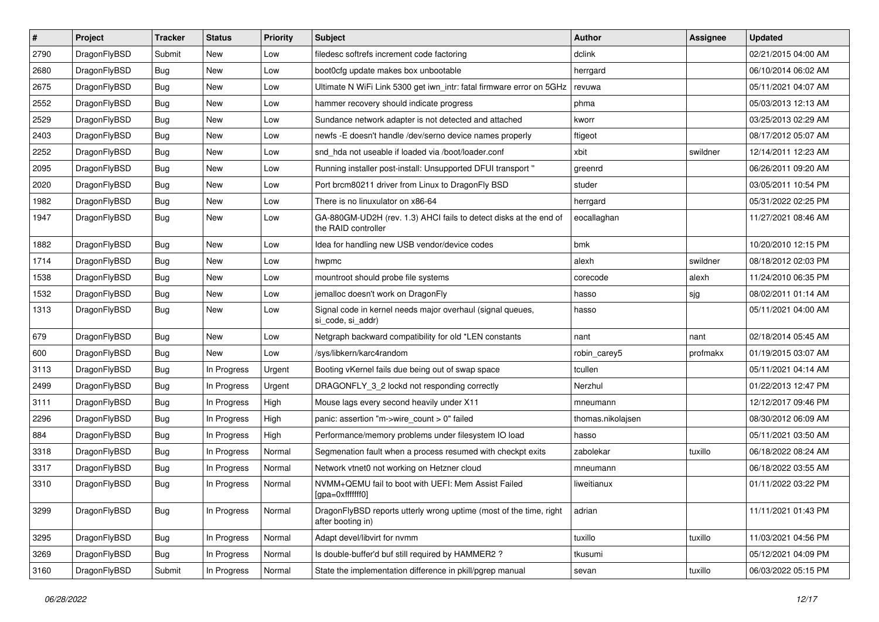| $\sharp$ | Project      | <b>Tracker</b> | <b>Status</b> | <b>Priority</b> | Subject                                                                                  | <b>Author</b>     | <b>Assignee</b> | <b>Updated</b>      |
|----------|--------------|----------------|---------------|-----------------|------------------------------------------------------------------------------------------|-------------------|-----------------|---------------------|
| 2790     | DragonFlyBSD | Submit         | New           | Low             | filedesc softrefs increment code factoring                                               | dclink            |                 | 02/21/2015 04:00 AM |
| 2680     | DragonFlyBSD | <b>Bug</b>     | <b>New</b>    | Low             | boot0cfg update makes box unbootable                                                     | herrgard          |                 | 06/10/2014 06:02 AM |
| 2675     | DragonFlyBSD | <b>Bug</b>     | New           | Low             | Ultimate N WiFi Link 5300 get iwn_intr: fatal firmware error on 5GHz                     | revuwa            |                 | 05/11/2021 04:07 AM |
| 2552     | DragonFlyBSD | <b>Bug</b>     | New           | Low             | hammer recovery should indicate progress                                                 | phma              |                 | 05/03/2013 12:13 AM |
| 2529     | DragonFlyBSD | <b>Bug</b>     | New           | Low             | Sundance network adapter is not detected and attached                                    | kworr             |                 | 03/25/2013 02:29 AM |
| 2403     | DragonFlyBSD | <b>Bug</b>     | <b>New</b>    | Low             | newfs -E doesn't handle /dev/serno device names properly                                 | ftigeot           |                 | 08/17/2012 05:07 AM |
| 2252     | DragonFlyBSD | <b>Bug</b>     | New           | Low             | snd hda not useable if loaded via /boot/loader.conf                                      | xbit              | swildner        | 12/14/2011 12:23 AM |
| 2095     | DragonFlyBSD | <b>Bug</b>     | New           | Low             | Running installer post-install: Unsupported DFUI transport "                             | greenrd           |                 | 06/26/2011 09:20 AM |
| 2020     | DragonFlyBSD | <b>Bug</b>     | New           | Low             | Port brcm80211 driver from Linux to DragonFly BSD                                        | studer            |                 | 03/05/2011 10:54 PM |
| 1982     | DragonFlyBSD | <b>Bug</b>     | New           | Low             | There is no linuxulator on x86-64                                                        | herrgard          |                 | 05/31/2022 02:25 PM |
| 1947     | DragonFlyBSD | <b>Bug</b>     | <b>New</b>    | Low             | GA-880GM-UD2H (rev. 1.3) AHCI fails to detect disks at the end of<br>the RAID controller | eocallaghan       |                 | 11/27/2021 08:46 AM |
| 1882     | DragonFlyBSD | <b>Bug</b>     | New           | Low             | Idea for handling new USB vendor/device codes                                            | bmk               |                 | 10/20/2010 12:15 PM |
| 1714     | DragonFlyBSD | <b>Bug</b>     | New           | Low             | hwpmc                                                                                    | alexh             | swildner        | 08/18/2012 02:03 PM |
| 1538     | DragonFlyBSD | Bug            | New           | Low             | mountroot should probe file systems                                                      | corecode          | alexh           | 11/24/2010 06:35 PM |
| 1532     | DragonFlyBSD | <b>Bug</b>     | New           | Low             | jemalloc doesn't work on DragonFly                                                       | hasso             | sjg             | 08/02/2011 01:14 AM |
| 1313     | DragonFlyBSD | <b>Bug</b>     | <b>New</b>    | Low             | Signal code in kernel needs major overhaul (signal queues,<br>si code, si addr)          | hasso             |                 | 05/11/2021 04:00 AM |
| 679      | DragonFlyBSD | Bug            | <b>New</b>    | Low             | Netgraph backward compatibility for old *LEN constants                                   | nant              | nant            | 02/18/2014 05:45 AM |
| 600      | DragonFlyBSD | <b>Bug</b>     | New           | Low             | /sys/libkern/karc4random                                                                 | robin_carey5      | profmakx        | 01/19/2015 03:07 AM |
| 3113     | DragonFlyBSD | <b>Bug</b>     | In Progress   | Urgent          | Booting vKernel fails due being out of swap space                                        | tcullen           |                 | 05/11/2021 04:14 AM |
| 2499     | DragonFlyBSD | <b>Bug</b>     | In Progress   | Urgent          | DRAGONFLY_3_2 lockd not responding correctly                                             | Nerzhul           |                 | 01/22/2013 12:47 PM |
| 3111     | DragonFlyBSD | <b>Bug</b>     | In Progress   | High            | Mouse lags every second heavily under X11                                                | mneumann          |                 | 12/12/2017 09:46 PM |
| 2296     | DragonFlyBSD | <b>Bug</b>     | In Progress   | High            | panic: assertion "m->wire count > 0" failed                                              | thomas.nikolajsen |                 | 08/30/2012 06:09 AM |
| 884      | DragonFlyBSD | <b>Bug</b>     | In Progress   | High            | Performance/memory problems under filesystem IO load                                     | hasso             |                 | 05/11/2021 03:50 AM |
| 3318     | DragonFlyBSD | Bug            | In Progress   | Normal          | Segmenation fault when a process resumed with checkpt exits                              | zabolekar         | tuxillo         | 06/18/2022 08:24 AM |
| 3317     | DragonFlyBSD | <b>Bug</b>     | In Progress   | Normal          | Network vtnet0 not working on Hetzner cloud                                              | mneumann          |                 | 06/18/2022 03:55 AM |
| 3310     | DragonFlyBSD | Bug            | In Progress   | Normal          | NVMM+QEMU fail to boot with UEFI: Mem Assist Failed<br>[gpa=0xfffffff0]                  | liweitianux       |                 | 01/11/2022 03:22 PM |
| 3299     | DragonFlyBSD | Bug            | In Progress   | Normal          | DragonFlyBSD reports utterly wrong uptime (most of the time, right<br>after booting in)  | adrian            |                 | 11/11/2021 01:43 PM |
| 3295     | DragonFlyBSD | <b>Bug</b>     | In Progress   | Normal          | Adapt devel/libvirt for nvmm                                                             | tuxillo           | tuxillo         | 11/03/2021 04:56 PM |
| 3269     | DragonFlyBSD | <b>Bug</b>     | In Progress   | Normal          | Is double-buffer'd buf still required by HAMMER2?                                        | tkusumi           |                 | 05/12/2021 04:09 PM |
| 3160     | DragonFlyBSD | Submit         | In Progress   | Normal          | State the implementation difference in pkill/pgrep manual                                | sevan             | tuxillo         | 06/03/2022 05:15 PM |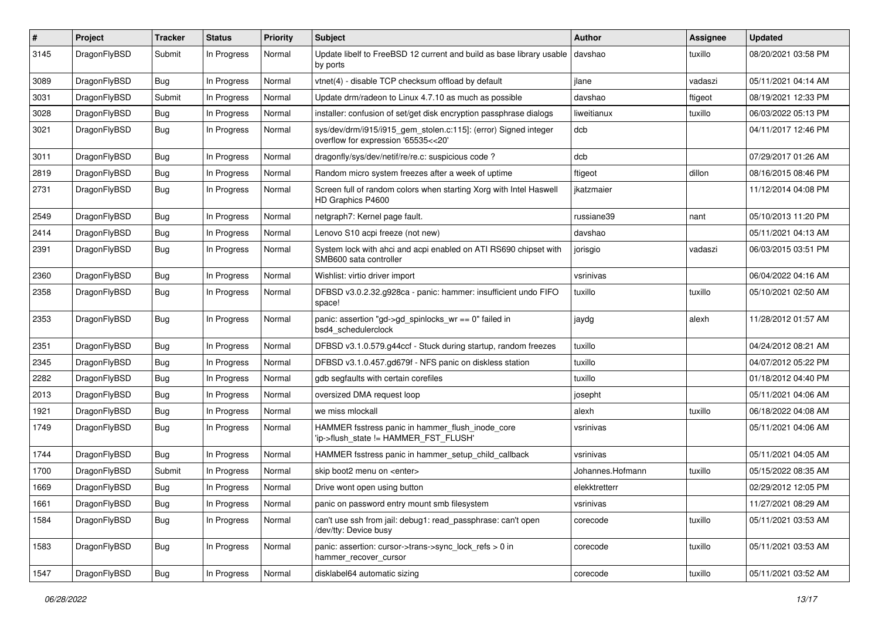| #    | Project      | <b>Tracker</b> | <b>Status</b> | <b>Priority</b> | <b>Subject</b>                                                                                         | <b>Author</b>    | <b>Assignee</b> | <b>Updated</b>      |
|------|--------------|----------------|---------------|-----------------|--------------------------------------------------------------------------------------------------------|------------------|-----------------|---------------------|
| 3145 | DragonFlyBSD | Submit         | In Progress   | Normal          | Update libelf to FreeBSD 12 current and build as base library usable<br>by ports                       | davshao          | tuxillo         | 08/20/2021 03:58 PM |
| 3089 | DragonFlyBSD | <b>Bug</b>     | In Progress   | Normal          | vtnet(4) - disable TCP checksum offload by default                                                     | jlane            | vadaszi         | 05/11/2021 04:14 AM |
| 3031 | DragonFlyBSD | Submit         | In Progress   | Normal          | Update drm/radeon to Linux 4.7.10 as much as possible                                                  | davshao          | ftigeot         | 08/19/2021 12:33 PM |
| 3028 | DragonFlyBSD | <b>Bug</b>     | In Progress   | Normal          | installer: confusion of set/get disk encryption passphrase dialogs                                     | liweitianux      | tuxillo         | 06/03/2022 05:13 PM |
| 3021 | DragonFlyBSD | <b>Bug</b>     | In Progress   | Normal          | sys/dev/drm/i915/i915_gem_stolen.c:115]: (error) Signed integer<br>overflow for expression '65535<<20' | dcb              |                 | 04/11/2017 12:46 PM |
| 3011 | DragonFlyBSD | <b>Bug</b>     | In Progress   | Normal          | dragonfly/sys/dev/netif/re/re.c: suspicious code ?                                                     | dcb              |                 | 07/29/2017 01:26 AM |
| 2819 | DragonFlyBSD | <b>Bug</b>     | In Progress   | Normal          | Random micro system freezes after a week of uptime                                                     | ftigeot          | dillon          | 08/16/2015 08:46 PM |
| 2731 | DragonFlyBSD | <b>Bug</b>     | In Progress   | Normal          | Screen full of random colors when starting Xorg with Intel Haswell<br>HD Graphics P4600                | jkatzmaier       |                 | 11/12/2014 04:08 PM |
| 2549 | DragonFlyBSD | <b>Bug</b>     | In Progress   | Normal          | netgraph7: Kernel page fault.                                                                          | russiane39       | nant            | 05/10/2013 11:20 PM |
| 2414 | DragonFlyBSD | <b>Bug</b>     | In Progress   | Normal          | Lenovo S10 acpi freeze (not new)                                                                       | davshao          |                 | 05/11/2021 04:13 AM |
| 2391 | DragonFlyBSD | <b>Bug</b>     | In Progress   | Normal          | System lock with ahci and acpi enabled on ATI RS690 chipset with<br>SMB600 sata controller             | jorisgio         | vadaszi         | 06/03/2015 03:51 PM |
| 2360 | DragonFlyBSD | <b>Bug</b>     | In Progress   | Normal          | Wishlist: virtio driver import                                                                         | vsrinivas        |                 | 06/04/2022 04:16 AM |
| 2358 | DragonFlyBSD | <b>Bug</b>     | In Progress   | Normal          | DFBSD v3.0.2.32.g928ca - panic: hammer: insufficient undo FIFO<br>space!                               | tuxillo          | tuxillo         | 05/10/2021 02:50 AM |
| 2353 | DragonFlyBSD | <b>Bug</b>     | In Progress   | Normal          | panic: assertion "gd->gd_spinlocks_wr == 0" failed in<br>bsd4 schedulerclock                           | jaydg            | alexh           | 11/28/2012 01:57 AM |
| 2351 | DragonFlyBSD | <b>Bug</b>     | In Progress   | Normal          | DFBSD v3.1.0.579.g44ccf - Stuck during startup, random freezes                                         | tuxillo          |                 | 04/24/2012 08:21 AM |
| 2345 | DragonFlyBSD | <b>Bug</b>     | In Progress   | Normal          | DFBSD v3.1.0.457.gd679f - NFS panic on diskless station                                                | tuxillo          |                 | 04/07/2012 05:22 PM |
| 2282 | DragonFlyBSD | <b>Bug</b>     | In Progress   | Normal          | gdb segfaults with certain corefiles                                                                   | tuxillo          |                 | 01/18/2012 04:40 PM |
| 2013 | DragonFlyBSD | <b>Bug</b>     | In Progress   | Normal          | oversized DMA request loop                                                                             | josepht          |                 | 05/11/2021 04:06 AM |
| 1921 | DragonFlyBSD | <b>Bug</b>     | In Progress   | Normal          | we miss mlockall                                                                                       | alexh            | tuxillo         | 06/18/2022 04:08 AM |
| 1749 | DragonFlyBSD | <b>Bug</b>     | In Progress   | Normal          | HAMMER fsstress panic in hammer_flush_inode_core<br>'ip->flush_state != HAMMER_FST_FLUSH'              | vsrinivas        |                 | 05/11/2021 04:06 AM |
| 1744 | DragonFlyBSD | <b>Bug</b>     | In Progress   | Normal          | HAMMER fsstress panic in hammer setup child callback                                                   | vsrinivas        |                 | 05/11/2021 04:05 AM |
| 1700 | DragonFlyBSD | Submit         | In Progress   | Normal          | skip boot2 menu on <enter></enter>                                                                     | Johannes.Hofmann | tuxillo         | 05/15/2022 08:35 AM |
| 1669 | DragonFlyBSD | Bug            | In Progress   | Normal          | Drive wont open using button                                                                           | elekktretterr    |                 | 02/29/2012 12:05 PM |
| 1661 | DragonFlyBSD | Bug            | In Progress   | Normal          | panic on password entry mount smb filesystem                                                           | vsrinivas        |                 | 11/27/2021 08:29 AM |
| 1584 | DragonFlyBSD | Bug            | In Progress   | Normal          | can't use ssh from jail: debug1: read_passphrase: can't open<br>/dev/tty: Device busy                  | corecode         | tuxillo         | 05/11/2021 03:53 AM |
| 1583 | DragonFlyBSD | Bug            | In Progress   | Normal          | panic: assertion: cursor->trans->sync_lock_refs > 0 in<br>hammer_recover_cursor                        | corecode         | tuxillo         | 05/11/2021 03:53 AM |
| 1547 | DragonFlyBSD | <b>Bug</b>     | In Progress   | Normal          | disklabel64 automatic sizing                                                                           | corecode         | tuxillo         | 05/11/2021 03:52 AM |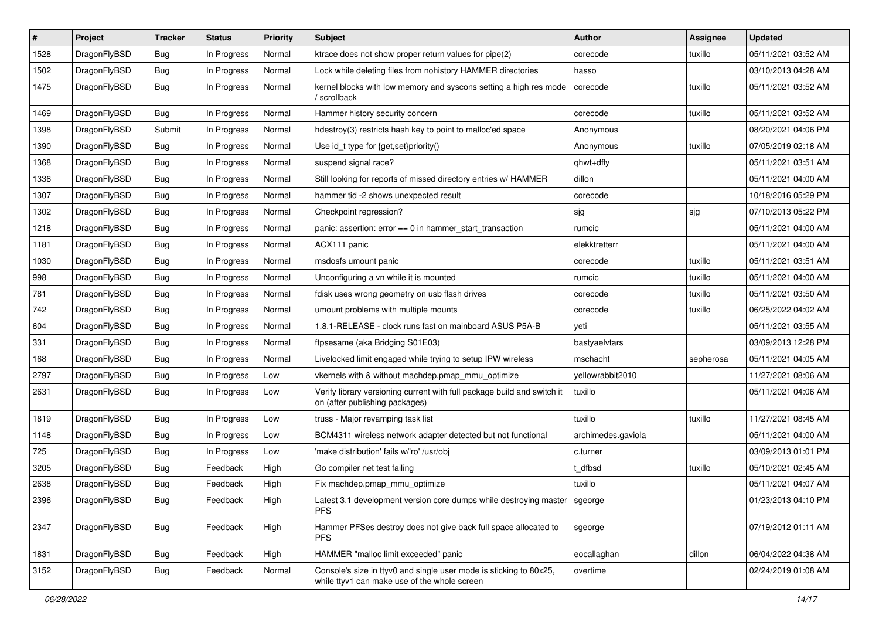| #    | Project      | <b>Tracker</b> | <b>Status</b> | <b>Priority</b> | Subject                                                                                                            | <b>Author</b>      | Assignee  | <b>Updated</b>      |
|------|--------------|----------------|---------------|-----------------|--------------------------------------------------------------------------------------------------------------------|--------------------|-----------|---------------------|
| 1528 | DragonFlyBSD | <b>Bug</b>     | In Progress   | Normal          | ktrace does not show proper return values for pipe(2)                                                              | corecode           | tuxillo   | 05/11/2021 03:52 AM |
| 1502 | DragonFlyBSD | <b>Bug</b>     | In Progress   | Normal          | Lock while deleting files from nohistory HAMMER directories                                                        | hasso              |           | 03/10/2013 04:28 AM |
| 1475 | DragonFlyBSD | <b>Bug</b>     | In Progress   | Normal          | kernel blocks with low memory and syscons setting a high res mode<br>/ scrollback                                  | corecode           | tuxillo   | 05/11/2021 03:52 AM |
| 1469 | DragonFlyBSD | <b>Bug</b>     | In Progress   | Normal          | Hammer history security concern                                                                                    | corecode           | tuxillo   | 05/11/2021 03:52 AM |
| 1398 | DragonFlyBSD | Submit         | In Progress   | Normal          | hdestroy(3) restricts hash key to point to malloc'ed space                                                         | Anonymous          |           | 08/20/2021 04:06 PM |
| 1390 | DragonFlyBSD | <b>Bug</b>     | In Progress   | Normal          | Use id_t type for {get,set}priority()                                                                              | Anonymous          | tuxillo   | 07/05/2019 02:18 AM |
| 1368 | DragonFlyBSD | <b>Bug</b>     | In Progress   | Normal          | suspend signal race?                                                                                               | qhwt+dfly          |           | 05/11/2021 03:51 AM |
| 1336 | DragonFlyBSD | <b>Bug</b>     | In Progress   | Normal          | Still looking for reports of missed directory entries w/ HAMMER                                                    | dillon             |           | 05/11/2021 04:00 AM |
| 1307 | DragonFlyBSD | <b>Bug</b>     | In Progress   | Normal          | hammer tid -2 shows unexpected result                                                                              | corecode           |           | 10/18/2016 05:29 PM |
| 1302 | DragonFlyBSD | <b>Bug</b>     | In Progress   | Normal          | Checkpoint regression?                                                                                             | sjg                | sjg       | 07/10/2013 05:22 PM |
| 1218 | DragonFlyBSD | <b>Bug</b>     | In Progress   | Normal          | panic: assertion: error == 0 in hammer_start_transaction                                                           | rumcic             |           | 05/11/2021 04:00 AM |
| 1181 | DragonFlyBSD | <b>Bug</b>     | In Progress   | Normal          | ACX111 panic                                                                                                       | elekktretterr      |           | 05/11/2021 04:00 AM |
| 1030 | DragonFlyBSD | <b>Bug</b>     | In Progress   | Normal          | msdosfs umount panic                                                                                               | corecode           | tuxillo   | 05/11/2021 03:51 AM |
| 998  | DragonFlyBSD | <b>Bug</b>     | In Progress   | Normal          | Unconfiguring a vn while it is mounted                                                                             | rumcic             | tuxillo   | 05/11/2021 04:00 AM |
| 781  | DragonFlyBSD | <b>Bug</b>     | In Progress   | Normal          | fdisk uses wrong geometry on usb flash drives                                                                      | corecode           | tuxillo   | 05/11/2021 03:50 AM |
| 742  | DragonFlyBSD | <b>Bug</b>     | In Progress   | Normal          | umount problems with multiple mounts                                                                               | corecode           | tuxillo   | 06/25/2022 04:02 AM |
| 604  | DragonFlyBSD | <b>Bug</b>     | In Progress   | Normal          | 1.8.1-RELEASE - clock runs fast on mainboard ASUS P5A-B                                                            | yeti               |           | 05/11/2021 03:55 AM |
| 331  | DragonFlyBSD | <b>Bug</b>     | In Progress   | Normal          | ftpsesame (aka Bridging S01E03)                                                                                    | bastyaelvtars      |           | 03/09/2013 12:28 PM |
| 168  | DragonFlyBSD | <b>Bug</b>     | In Progress   | Normal          | Livelocked limit engaged while trying to setup IPW wireless                                                        | mschacht           | sepherosa | 05/11/2021 04:05 AM |
| 2797 | DragonFlyBSD | <b>Bug</b>     | In Progress   | Low             | vkernels with & without machdep.pmap_mmu_optimize                                                                  | yellowrabbit2010   |           | 11/27/2021 08:06 AM |
| 2631 | DragonFlyBSD | <b>Bug</b>     | In Progress   | Low             | Verify library versioning current with full package build and switch it<br>on (after publishing packages)          | tuxillo            |           | 05/11/2021 04:06 AM |
| 1819 | DragonFlyBSD | <b>Bug</b>     | In Progress   | Low             | truss - Major revamping task list                                                                                  | tuxillo            | tuxillo   | 11/27/2021 08:45 AM |
| 1148 | DragonFlyBSD | <b>Bug</b>     | In Progress   | Low             | BCM4311 wireless network adapter detected but not functional                                                       | archimedes.gaviola |           | 05/11/2021 04:00 AM |
| 725  | DragonFlyBSD | <b>Bug</b>     | In Progress   | Low             | 'make distribution' fails w/'ro' /usr/obj                                                                          | c.turner           |           | 03/09/2013 01:01 PM |
| 3205 | DragonFlyBSD | <b>Bug</b>     | Feedback      | High            | Go compiler net test failing                                                                                       | t dfbsd            | tuxillo   | 05/10/2021 02:45 AM |
| 2638 | DragonFlyBSD | <b>Bug</b>     | Feedback      | High            | Fix machdep.pmap_mmu_optimize                                                                                      | tuxillo            |           | 05/11/2021 04:07 AM |
| 2396 | DragonFlyBSD | <b>Bug</b>     | Feedback      | High            | Latest 3.1 development version core dumps while destroying master   sgeorge<br><b>PFS</b>                          |                    |           | 01/23/2013 04:10 PM |
| 2347 | DragonFlyBSD | <b>Bug</b>     | Feedback      | High            | Hammer PFSes destroy does not give back full space allocated to<br><b>PFS</b>                                      | sgeorge            |           | 07/19/2012 01:11 AM |
| 1831 | DragonFlyBSD | Bug            | Feedback      | High            | HAMMER "malloc limit exceeded" panic                                                                               | eocallaghan        | dillon    | 06/04/2022 04:38 AM |
| 3152 | DragonFlyBSD | Bug            | Feedback      | Normal          | Console's size in ttyv0 and single user mode is sticking to 80x25,<br>while ttyv1 can make use of the whole screen | overtime           |           | 02/24/2019 01:08 AM |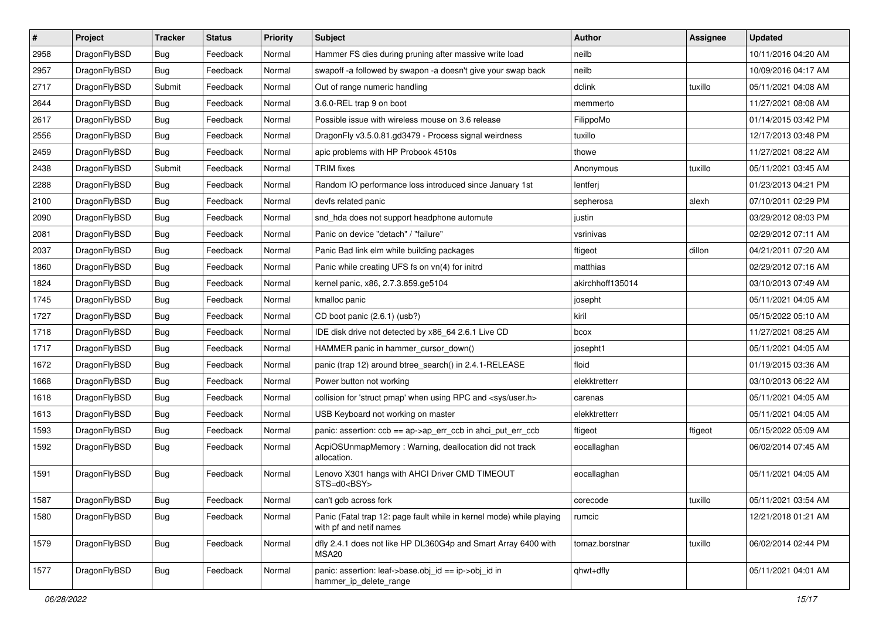| $\pmb{\#}$ | Project      | <b>Tracker</b> | <b>Status</b> | Priority | <b>Subject</b>                                                                                  | <b>Author</b>    | Assignee | <b>Updated</b>      |
|------------|--------------|----------------|---------------|----------|-------------------------------------------------------------------------------------------------|------------------|----------|---------------------|
| 2958       | DragonFlyBSD | Bug            | Feedback      | Normal   | Hammer FS dies during pruning after massive write load                                          | neilb            |          | 10/11/2016 04:20 AM |
| 2957       | DragonFlyBSD | Bug            | Feedback      | Normal   | swapoff -a followed by swapon -a doesn't give your swap back                                    | neilb            |          | 10/09/2016 04:17 AM |
| 2717       | DragonFlyBSD | Submit         | Feedback      | Normal   | Out of range numeric handling                                                                   | dclink           | tuxillo  | 05/11/2021 04:08 AM |
| 2644       | DragonFlyBSD | Bug            | Feedback      | Normal   | 3.6.0-REL trap 9 on boot                                                                        | memmerto         |          | 11/27/2021 08:08 AM |
| 2617       | DragonFlyBSD | Bug            | Feedback      | Normal   | Possible issue with wireless mouse on 3.6 release                                               | FilippoMo        |          | 01/14/2015 03:42 PM |
| 2556       | DragonFlyBSD | Bug            | Feedback      | Normal   | DragonFly v3.5.0.81.gd3479 - Process signal weirdness                                           | tuxillo          |          | 12/17/2013 03:48 PM |
| 2459       | DragonFlyBSD | Bug            | Feedback      | Normal   | apic problems with HP Probook 4510s                                                             | thowe            |          | 11/27/2021 08:22 AM |
| 2438       | DragonFlyBSD | Submit         | Feedback      | Normal   | <b>TRIM</b> fixes                                                                               | Anonymous        | tuxillo  | 05/11/2021 03:45 AM |
| 2288       | DragonFlyBSD | Bug            | Feedback      | Normal   | Random IO performance loss introduced since January 1st                                         | lentferj         |          | 01/23/2013 04:21 PM |
| 2100       | DragonFlyBSD | Bug            | Feedback      | Normal   | devfs related panic                                                                             | sepherosa        | alexh    | 07/10/2011 02:29 PM |
| 2090       | DragonFlyBSD | Bug            | Feedback      | Normal   | snd hda does not support headphone automute                                                     | justin           |          | 03/29/2012 08:03 PM |
| 2081       | DragonFlyBSD | Bug            | Feedback      | Normal   | Panic on device "detach" / "failure"                                                            | vsrinivas        |          | 02/29/2012 07:11 AM |
| 2037       | DragonFlyBSD | Bug            | Feedback      | Normal   | Panic Bad link elm while building packages                                                      | ftigeot          | dillon   | 04/21/2011 07:20 AM |
| 1860       | DragonFlyBSD | Bug            | Feedback      | Normal   | Panic while creating UFS fs on vn(4) for initrd                                                 | matthias         |          | 02/29/2012 07:16 AM |
| 1824       | DragonFlyBSD | Bug            | Feedback      | Normal   | kernel panic, x86, 2.7.3.859.ge5104                                                             | akirchhoff135014 |          | 03/10/2013 07:49 AM |
| 1745       | DragonFlyBSD | Bug            | Feedback      | Normal   | kmalloc panic                                                                                   | josepht          |          | 05/11/2021 04:05 AM |
| 1727       | DragonFlyBSD | <b>Bug</b>     | Feedback      | Normal   | CD boot panic (2.6.1) (usb?)                                                                    | kiril            |          | 05/15/2022 05:10 AM |
| 1718       | DragonFlyBSD | Bug            | Feedback      | Normal   | IDE disk drive not detected by x86_64 2.6.1 Live CD                                             | bcox             |          | 11/27/2021 08:25 AM |
| 1717       | DragonFlyBSD | Bug            | Feedback      | Normal   | HAMMER panic in hammer_cursor_down()                                                            | josepht1         |          | 05/11/2021 04:05 AM |
| 1672       | DragonFlyBSD | Bug            | Feedback      | Normal   | panic (trap 12) around btree_search() in 2.4.1-RELEASE                                          | floid            |          | 01/19/2015 03:36 AM |
| 1668       | DragonFlyBSD | Bug            | Feedback      | Normal   | Power button not working                                                                        | elekktretterr    |          | 03/10/2013 06:22 AM |
| 1618       | DragonFlyBSD | <b>Bug</b>     | Feedback      | Normal   | collision for 'struct pmap' when using RPC and <sys user.h=""></sys>                            | carenas          |          | 05/11/2021 04:05 AM |
| 1613       | DragonFlyBSD | Bug            | Feedback      | Normal   | USB Keyboard not working on master                                                              | elekktretterr    |          | 05/11/2021 04:05 AM |
| 1593       | DragonFlyBSD | Bug            | Feedback      | Normal   | panic: assertion: $\cosh ==$ ap->ap err $\cosh$ in ahci put err $\cosh$                         | ftigeot          | ftigeot  | 05/15/2022 05:09 AM |
| 1592       | DragonFlyBSD | Bug            | Feedback      | Normal   | AcpiOSUnmapMemory: Warning, deallocation did not track<br>allocation.                           | eocallaghan      |          | 06/02/2014 07:45 AM |
| 1591       | DragonFlyBSD | Bug            | Feedback      | Normal   | Lenovo X301 hangs with AHCI Driver CMD TIMEOUT<br>STS=d0 <bsy></bsy>                            | eocallaghan      |          | 05/11/2021 04:05 AM |
| 1587       | DragonFlyBSD | <b>Bug</b>     | Feedback      | Normal   | can't gdb across fork                                                                           | corecode         | tuxillo  | 05/11/2021 03:54 AM |
| 1580       | DragonFlyBSD | <b>Bug</b>     | Feedback      | Normal   | Panic (Fatal trap 12: page fault while in kernel mode) while playing<br>with pf and netif names | rumcic           |          | 12/21/2018 01:21 AM |
| 1579       | DragonFlyBSD | <b>Bug</b>     | Feedback      | Normal   | dfly 2.4.1 does not like HP DL360G4p and Smart Array 6400 with<br>MSA20                         | tomaz.borstnar   | tuxillo  | 06/02/2014 02:44 PM |
| 1577       | DragonFlyBSD | <b>Bug</b>     | Feedback      | Normal   | panic: assertion: leaf->base.obj_id == ip->obj_id in<br>hammer_ip_delete_range                  | qhwt+dfly        |          | 05/11/2021 04:01 AM |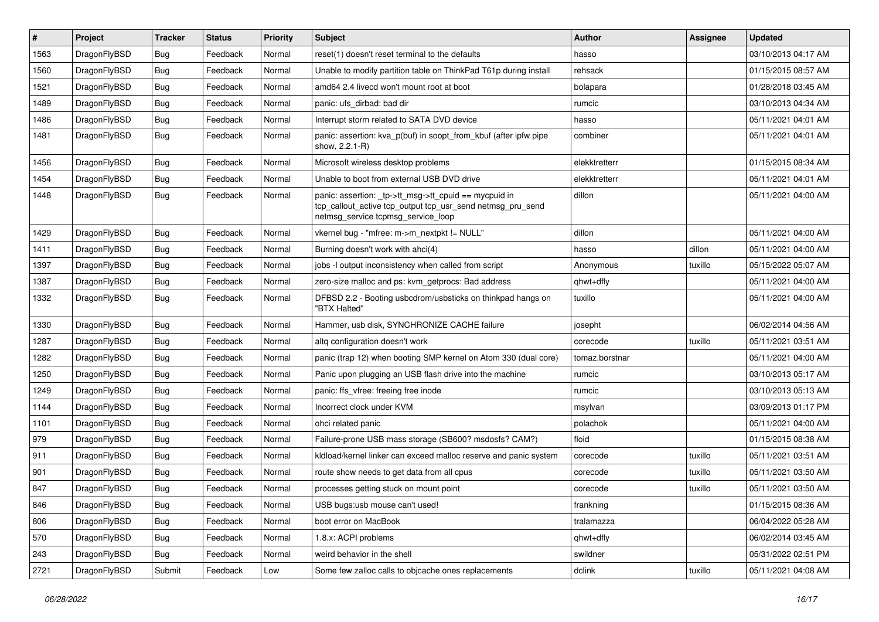| $\vert$ # | Project      | <b>Tracker</b> | <b>Status</b> | <b>Priority</b> | <b>Subject</b>                                                                                                                                            | <b>Author</b>  | Assignee | <b>Updated</b>      |
|-----------|--------------|----------------|---------------|-----------------|-----------------------------------------------------------------------------------------------------------------------------------------------------------|----------------|----------|---------------------|
| 1563      | DragonFlyBSD | Bug            | Feedback      | Normal          | reset(1) doesn't reset terminal to the defaults                                                                                                           | hasso          |          | 03/10/2013 04:17 AM |
| 1560      | DragonFlyBSD | <b>Bug</b>     | Feedback      | Normal          | Unable to modify partition table on ThinkPad T61p during install                                                                                          | rehsack        |          | 01/15/2015 08:57 AM |
| 1521      | DragonFlyBSD | <b>Bug</b>     | Feedback      | Normal          | amd64 2.4 livecd won't mount root at boot                                                                                                                 | bolapara       |          | 01/28/2018 03:45 AM |
| 1489      | DragonFlyBSD | Bug            | Feedback      | Normal          | panic: ufs dirbad: bad dir                                                                                                                                | rumcic         |          | 03/10/2013 04:34 AM |
| 1486      | DragonFlyBSD | Bug            | Feedback      | Normal          | Interrupt storm related to SATA DVD device                                                                                                                | hasso          |          | 05/11/2021 04:01 AM |
| 1481      | DragonFlyBSD | Bug            | Feedback      | Normal          | panic: assertion: kva_p(buf) in soopt_from_kbuf (after ipfw pipe<br>show, 2.2.1-R)                                                                        | combiner       |          | 05/11/2021 04:01 AM |
| 1456      | DragonFlyBSD | <b>Bug</b>     | Feedback      | Normal          | Microsoft wireless desktop problems                                                                                                                       | elekktretterr  |          | 01/15/2015 08:34 AM |
| 1454      | DragonFlyBSD | <b>Bug</b>     | Feedback      | Normal          | Unable to boot from external USB DVD drive                                                                                                                | elekktretterr  |          | 05/11/2021 04:01 AM |
| 1448      | DragonFlyBSD | Bug            | Feedback      | Normal          | panic: assertion: _tp->tt_msg->tt_cpuid == mycpuid in<br>tcp_callout_active tcp_output tcp_usr_send netmsg_pru_send<br>netmsg_service tcpmsg_service_loop | dillon         |          | 05/11/2021 04:00 AM |
| 1429      | DragonFlyBSD | <b>Bug</b>     | Feedback      | Normal          | vkernel bug - "mfree: m->m_nextpkt != NULL"                                                                                                               | dillon         |          | 05/11/2021 04:00 AM |
| 1411      | DragonFlyBSD | <b>Bug</b>     | Feedback      | Normal          | Burning doesn't work with ahci(4)                                                                                                                         | hasso          | dillon   | 05/11/2021 04:00 AM |
| 1397      | DragonFlyBSD | Bug            | Feedback      | Normal          | jobs -I output inconsistency when called from script                                                                                                      | Anonymous      | tuxillo  | 05/15/2022 05:07 AM |
| 1387      | DragonFlyBSD | <b>Bug</b>     | Feedback      | Normal          | zero-size malloc and ps: kvm_getprocs: Bad address                                                                                                        | qhwt+dfly      |          | 05/11/2021 04:00 AM |
| 1332      | DragonFlyBSD | Bug            | Feedback      | Normal          | DFBSD 2.2 - Booting usbcdrom/usbsticks on thinkpad hangs on<br>"BTX Halted"                                                                               | tuxillo        |          | 05/11/2021 04:00 AM |
| 1330      | DragonFlyBSD | <b>Bug</b>     | Feedback      | Normal          | Hammer, usb disk, SYNCHRONIZE CACHE failure                                                                                                               | josepht        |          | 06/02/2014 04:56 AM |
| 1287      | DragonFlyBSD | Bug            | Feedback      | Normal          | altg configuration doesn't work                                                                                                                           | corecode       | tuxillo  | 05/11/2021 03:51 AM |
| 1282      | DragonFlyBSD | Bug            | Feedback      | Normal          | panic (trap 12) when booting SMP kernel on Atom 330 (dual core)                                                                                           | tomaz.borstnar |          | 05/11/2021 04:00 AM |
| 1250      | DragonFlyBSD | <b>Bug</b>     | Feedback      | Normal          | Panic upon plugging an USB flash drive into the machine                                                                                                   | rumcic         |          | 03/10/2013 05:17 AM |
| 1249      | DragonFlyBSD | Bug            | Feedback      | Normal          | panic: ffs vfree: freeing free inode                                                                                                                      | rumcic         |          | 03/10/2013 05:13 AM |
| 1144      | DragonFlyBSD | <b>Bug</b>     | Feedback      | Normal          | Incorrect clock under KVM                                                                                                                                 | msylvan        |          | 03/09/2013 01:17 PM |
| 1101      | DragonFlyBSD | <b>Bug</b>     | Feedback      | Normal          | ohci related panic                                                                                                                                        | polachok       |          | 05/11/2021 04:00 AM |
| 979       | DragonFlyBSD | Bug            | Feedback      | Normal          | Failure-prone USB mass storage (SB600? msdosfs? CAM?)                                                                                                     | floid          |          | 01/15/2015 08:38 AM |
| 911       | DragonFlyBSD | <b>Bug</b>     | Feedback      | Normal          | kldload/kernel linker can exceed malloc reserve and panic system                                                                                          | corecode       | tuxillo  | 05/11/2021 03:51 AM |
| 901       | DragonFlyBSD | Bug            | Feedback      | Normal          | route show needs to get data from all cpus                                                                                                                | corecode       | tuxillo  | 05/11/2021 03:50 AM |
| 847       | DragonFlyBSD | <b>Bug</b>     | Feedback      | Normal          | processes getting stuck on mount point                                                                                                                    | corecode       | tuxillo  | 05/11/2021 03:50 AM |
| 846       | DragonFlyBSD | <b>Bug</b>     | Feedback      | Normal          | USB bugs:usb mouse can't used!                                                                                                                            | frankning      |          | 01/15/2015 08:36 AM |
| 806       | DragonFlyBSD | Bug            | Feedback      | Normal          | boot error on MacBook                                                                                                                                     | tralamazza     |          | 06/04/2022 05:28 AM |
| 570       | DragonFlyBSD | <b>Bug</b>     | Feedback      | Normal          | 1.8.x: ACPI problems                                                                                                                                      | qhwt+dfly      |          | 06/02/2014 03:45 AM |
| 243       | DragonFlyBSD | <b>Bug</b>     | Feedback      | Normal          | weird behavior in the shell                                                                                                                               | swildner       |          | 05/31/2022 02:51 PM |
| 2721      | DragonFlyBSD | Submit         | Feedback      | Low             | Some few zalloc calls to objcache ones replacements                                                                                                       | dclink         | tuxillo  | 05/11/2021 04:08 AM |